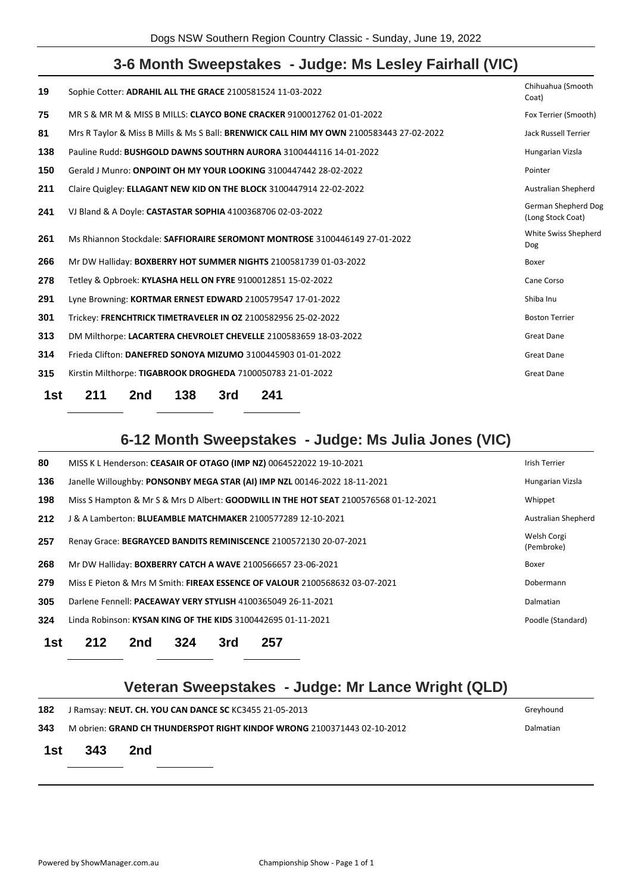## **3-6 Month Sweepstakes - Judge: Ms Lesley Fairhall (VIC)**

| 19  | Sophie Cotter: ADRAHIL ALL THE GRACE 2100581524 11-03-2022                              | Chihuahua (Smooth<br>Coat)               |
|-----|-----------------------------------------------------------------------------------------|------------------------------------------|
| 75  | MR S & MR M & MISS B MILLS: CLAYCO BONE CRACKER 9100012762 01-01-2022                   | Fox Terrier (Smooth)                     |
| 81  | Mrs R Taylor & Miss B Mills & Ms S Ball: BRENWICK CALL HIM MY OWN 2100583443 27-02-2022 | <b>Jack Russell Terrier</b>              |
| 138 | Pauline Rudd: BUSHGOLD DAWNS SOUTHRN AURORA 3100444116 14-01-2022                       | Hungarian Vizsla                         |
| 150 | Gerald J Munro: ONPOINT OH MY YOUR LOOKING 3100447442 28-02-2022                        | Pointer                                  |
| 211 | Claire Quigley: ELLAGANT NEW KID ON THE BLOCK 3100447914 22-02-2022                     | <b>Australian Shepherd</b>               |
| 241 | VJ Bland & A Doyle: CASTASTAR SOPHIA 4100368706 02-03-2022                              | German Shepherd Dog<br>(Long Stock Coat) |
| 261 | Ms Rhiannon Stockdale: SAFFIORAIRE SEROMONT MONTROSE 3100446149 27-01-2022              | White Swiss Shepherd<br><b>Dog</b>       |
| 266 | Mr DW Halliday: BOXBERRY HOT SUMMER NIGHTS 2100581739 01-03-2022                        | Boxer                                    |
| 278 | Tetley & Opbroek: KYLASHA HELL ON FYRE 9100012851 15-02-2022                            | Cane Corso                               |
| 291 | Lyne Browning: KORTMAR ERNEST EDWARD 2100579547 17-01-2022                              | Shiba Inu                                |
| 301 | Trickey: FRENCHTRICK TIMETRAVELER IN OZ 2100582956 25-02-2022                           | <b>Boston Terrier</b>                    |
| 313 | DM Milthorpe: LACARTERA CHEVROLET CHEVELLE 2100583659 18-03-2022                        | <b>Great Dane</b>                        |
| 314 | Frieda Clifton: DANEFRED SONOYA MIZUMO 3100445903 01-01-2022                            | <b>Great Dane</b>                        |
| 315 | Kirstin Milthorpe: TIGABROOK DROGHEDA 7100050783 21-01-2022                             | <b>Great Dane</b>                        |
| 1st | 241<br>211<br>138<br>3rd<br>2nd                                                         |                                          |

|     |                                                                     |     |     |     |     | ້                                                                                           | $\mathbf{z}$ |                           |
|-----|---------------------------------------------------------------------|-----|-----|-----|-----|---------------------------------------------------------------------------------------------|--------------|---------------------------|
| 80  | MISS K L Henderson: CEASAIR OF OTAGO (IMP NZ) 0064522022 19-10-2021 |     |     |     |     |                                                                                             |              | <b>Irish Terrier</b>      |
| 136 |                                                                     |     |     |     |     | Janelle Willoughby: PONSONBY MEGA STAR (AI) IMP NZL 00146-2022 18-11-2021                   |              | Hungarian Vizsla          |
| 198 |                                                                     |     |     |     |     | Miss S Hampton & Mr S & Mrs D Albert: <b>GOODWILL IN THE HOT SEAT</b> 2100576568 01-12-2021 |              | Whippet                   |
| 212 | J & A Lamberton: <b>BLUEAMBLE MATCHMAKER</b> 2100577289 12-10-2021  |     |     |     |     |                                                                                             |              | Australian Shepherd       |
| 257 | Renay Grace: BEGRAYCED BANDITS REMINISCENCE 2100572130 20-07-2021   |     |     |     |     |                                                                                             |              | Welsh Corgi<br>(Pembroke) |
| 268 | Mr DW Halliday: BOXBERRY CATCH A WAVE 2100566657 23-06-2021         |     |     |     |     |                                                                                             |              | Boxer                     |
| 279 |                                                                     |     |     |     |     | Miss E Pieton & Mrs M Smith: FIREAX ESSENCE OF VALOUR 2100568632 03-07-2021                 |              | Dobermann                 |
| 305 | Darlene Fennell: PACEAWAY VERY STYLISH 4100365049 26-11-2021        |     |     |     |     |                                                                                             |              | Dalmatian                 |
| 324 | Linda Robinson: KYSAN KING OF THE KIDS 3100442695 01-11-2021        |     |     |     |     |                                                                                             |              | Poodle (Standard)         |
| 1st | 212                                                                 | 2nd | 324 | 3rd | 257 |                                                                                             |              |                           |

**6-12 Month Sweepstakes - Judge: Ms Julia Jones (VIC)** 

## **Veteran Sweepstakes - Judge: Mr Lance Wright (QLD)**

| 182 |     | J Ramsay: NEUT. CH. YOU CAN DANCE SC KC3455 21-05-2013                  | Greyhound |
|-----|-----|-------------------------------------------------------------------------|-----------|
| 343 |     | M obrien: GRAND CH THUNDERSPOT RIGHT KINDOF WRONG 2100371443 02-10-2012 | Dalmatian |
| 1st | 343 | 2nd                                                                     |           |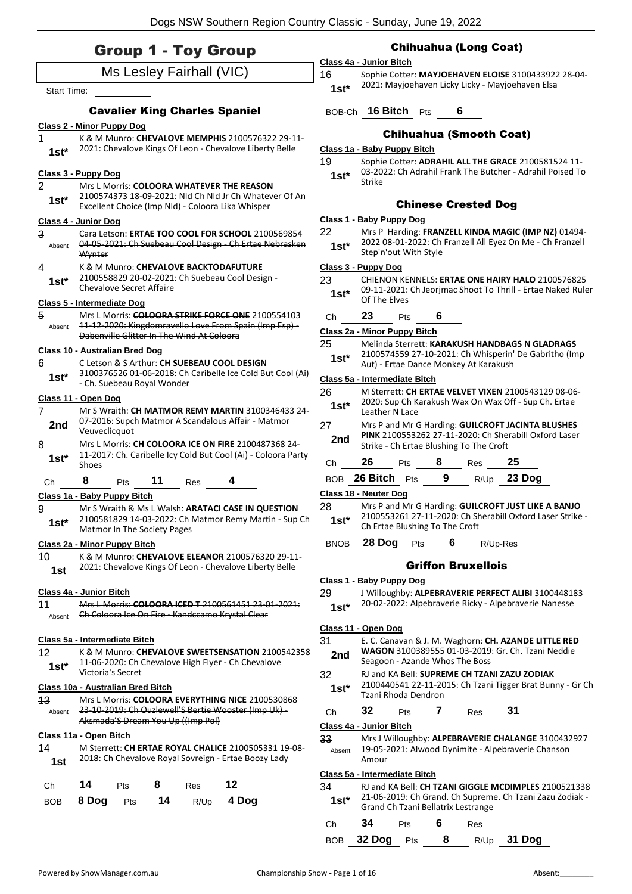## Group 1 - Toy Group

## Ms Lesley Fairhall (VIC)

#### Start Time:

#### Cavalier King Charles Spaniel

#### **Class 2 - Minor Puppy Dog**

1 K & M Munro: **CHEVALOVE MEMPHIS** 2100576322 29-11- 1st\* 2021: Chevalove Kings Of Leon - Chevalove Liberty Belle

#### **Class 3 - Puppy Dog**

2 Mrs L Morris: **COLOORA WHATEVER THE REASON** 2100574373 18-09-2021: Nld Ch Nld Jr Ch Whatever Of An Excellent Choice (Imp Nld) - Coloora Lika Whisper **1st\***

#### **Class 4 - Junior Dog**

- 3 Cara Letson: **ERTAE TOO COOL FOR SCHOOL** 2100569854 04-05-2021: Ch Suebeau Cool Design - Ch Ertae Nebrasken Wynter Absent
- 4 K & M Munro: **CHEVALOVE BACKTODAFUTURE** 2100558829 20-02-2021: Ch Suebeau Cool Design - **1st\*** <u>LALCONS</u><br>Chevalove Secret Affaire

#### **Class 5 - Intermediate Dog**

5 Mrs L Morris: **COLOORA STRIKE FORCE ONE** 2100554103 11-12-2020: Kingdomravello Love From Spain (Imp Esp) - Dabenville Glitter In The Wind At Coloora Absent

#### **Class 10 - Australian Bred Dog**

- 6 C Letson & S Arthur: **CH SUEBEAU COOL DESIGN** 3100376526 01-06-2018: Ch Caribelle Ice Cold But Cool (Ai)
	- 1st<sup>\*</sup> <sup>5100376526</sup> UI-06-2018: Ch. Suebeau Royal Wonder

#### **Class 11 - Open Dog**

| 7<br>2nd    | Mr S Wraith: CH MATMOR REMY MARTIN 3100346433 24-<br>07-2016: Supch Matmor A Scandalous Affair - Matmor<br>Veuveclicquot      |
|-------------|-------------------------------------------------------------------------------------------------------------------------------|
| 8<br>$1st*$ | Mrs L Morris: CH COLOORA ICE ON FIRE 2100487368 24-<br>11-2017: Ch. Caribelle Icy Cold But Cool (Ai) - Coloora Party<br>Shoes |

Ch **8** Pts **11** Res **4**

#### **Class 1a - Baby Puppy Bitch**

9 Mr S Wraith & Ms L Walsh: **ARATACI CASE IN QUESTION** 2100581829 14-03-2022: Ch Matmor Remy Martin - Sup Ch **1st\*** 2100581829 14-03-2022: Ch

#### **Class 2a - Minor Puppy Bitch**

- 10 K & M Munro: **CHEVALOVE ELEANOR** 2100576320 29-11- 1st 2021: Chevalove Kings Of Leon - Chevalove Liberty Belle
- **Class 4a - Junior Bitch**
- 11 Mrs L Morris: **COLOORA ICED T** 2100561451 23-01-2021: Absent **Ch Coloora Ice On Fire - Kandccamo Krystal Clear**

#### **Class 5a - Intermediate Bitch**

12 K & M Munro: **CHEVALOVE SWEETSENSATION** 2100542358 11-06-2020: Ch Chevalove High Flyer - Ch Chevalove 1st<sup>\*</sup> <sup>11-06-2020: Ch</sub></sup>

#### **Class 10a - Australian Bred Bitch**

13 Mrs L Morris: **COLOORA EVERYTHING NICE** 2100530868 23-10-2019: Ch Ouzlewell'S Bertie Wooster (Imp Uk) - Aksmada'S Dream You Up ((Imp Pol) Absent

#### **Class 11a - Open Bitch**

14 M Sterrett: **CH ERTAE ROYAL CHALICE** 2100505331 19-08- 2018: Ch Chevalove Royal Sovreign - Ertae Boozy Lady **1st**

| Ch | $14$ Pts | $\overline{\mathbf{8}}$ | Res | 12                          |
|----|----------|-------------------------|-----|-----------------------------|
|    |          |                         |     | BOB 8 Dog Pts 14 R/Up 4 Dog |

#### Chihuahua (Long Coat)

#### **Class 4a - Junior Bitch**

16 Sophie Cotter: **MAYJOEHAVEN ELOISE** 3100433922 28-04- 2021: Mayjoehaven Licky Licky - Mayjoehaven Elsa **1st\***

BOB-Ch **16 Bitch** Pts **6**

#### Chihuahua (Smooth Coat)

#### **Class 1a - Baby Puppy Bitch**

19 Sophie Cotter: **ADRAHIL ALL THE GRACE** 2100581524 11- 03-2022: Ch Adrahil Frank The Butcher - Adrahil Poised To 1st<sup>\*</sup> <sup>U3-20</sup>

#### Chinese Crested Dog

#### **Class 1 - Baby Puppy Dog**

22 Mrs P Harding: **FRANZELL KINDA MAGIC (IMP NZ)** 01494- 2022 08-01-2022: Ch Franzell All Eyez On Me - Ch Franzell 1st\* <sup>2022</sup> 08-01-2022: Ch<br>Step'n'out With Style

#### **Class 3 - Puppy Dog**

- 23 CHIENON KENNELS: **ERTAE ONE HAIRY HALO** 2100576825 09-11-2021: Ch Jeorjmac Shoot To Thrill - Ertae Naked Ruler 1st<sup>\*</sup> Of The Elves
- Ch **23** Pts **6**

#### **Class 2a - Minor Puppy Bitch**

- 25 Melinda Sterrett: **KARAKUSH HANDBAGS N GLADRAGS** 2100574559 27-10-2021: Ch Whisperin' De Gabritho (Imp
- Aut) Ertae Dance Monkey At Karakush **1st\***

#### **Class 5a - Intermediate Bitch**

| 26<br>$1st*$ | M Sterrett: CH ERTAE VELVET VIXEN 2100543129 08-06-<br>2020: Sup Ch Karakush Wax On Wax Off - Sup Ch. Ertae<br>Leather N Lace                                                |
|--------------|------------------------------------------------------------------------------------------------------------------------------------------------------------------------------|
| 27           | Mrs P and Mr G Harding: GUILCROFT JACINTA BLUSHES<br><b>PULLIS ASSESSED AT ASSAULT AND A LITTLE IN A CALL IN A CALL IN A CALL IN A CALL IN A CALL IN A CALL IN A CALL IN</b> |

| 2nd | PINK 2100553262 27-11-2020: Ch Sherabill Oxford Laser |
|-----|-------------------------------------------------------|
|     | Strike - Ch Ertae Blushing To The Croft               |

| Ch | 26               | <b>Pts</b> | 8   | Res |               |
|----|------------------|------------|-----|-----|---------------|
|    | BOB 26 Bitch Pts |            | - 9 |     | $R/Up$ 23 Dog |

#### **Class 18 - Neuter Dog**

- 28 Mrs P and Mr G Harding: **GUILCROFT JUST LIKE A BANJO** 2100553261 27-11-2020: Ch Sherabill Oxford Laser Strike - **1st**\* 210055261 27-11-2020: Ch Sr<br>Ch Ertae Blushing To The Croft
	- BNOB **28 Dog** Pts **6** R/Up-Res

#### Griffon Bruxellois

- **Class 1 - Baby Puppy Dog**
- 29 J Willoughby: **ALPEBRAVERIE PERFECT ALIBI** 3100448183
	- 20-02-2022: Alpebraverie Ricky Alpebraverie Nanesse **1st\***

#### **Class 11 - Open Dog**

- 31 E. C. Canavan & J. M. Waghorn: **CH. AZANDE LITTLE RED WAGON** 3100389555 01-03-2019: Gr. Ch. Tzani Neddie **2nd WAGON** 3100389555 01-03-2019<br>Seagoon - Azande Whos The Boss
- 32 RJ and KA Bell: **SUPREME CH TZANI ZAZU ZODIAK**
- 2100440541 22-11-2015: Ch Tzani Tigger Brat Bunny Gr Ch Tzani Rhoda Dendron **1st\***

| ( :h | 32<br>— | ∽τs | ĸes |  |
|------|---------|-----|-----|--|
|      |         |     |     |  |

**Class 4a - Junior Bitch**

33 Mrs J Willoughby: **ALPEBRAVERIE CHALANGE** 3100432927 19-05-2021: Alwood Dynimite - Alpebraverie Chanson Amour Absent

#### **Class 5a - Intermediate Bitch**

#### 34 RJ and KA Bell: **CH TZANI GIGGLE MCDIMPLES** 2100521338 21-06-2019: Ch Grand. Ch Supreme. Ch Tzani Zazu Zodiak - 1st\* 21-06-2019: Ch Grand. Ch Suprement<br>Grand Ch Tzani Bellatrix Lestrange

Ch **34** Pts **6** Res

| BOB 32 Dog Pts 8 |  | R/Up 31 Dog |
|------------------|--|-------------|
|                  |  |             |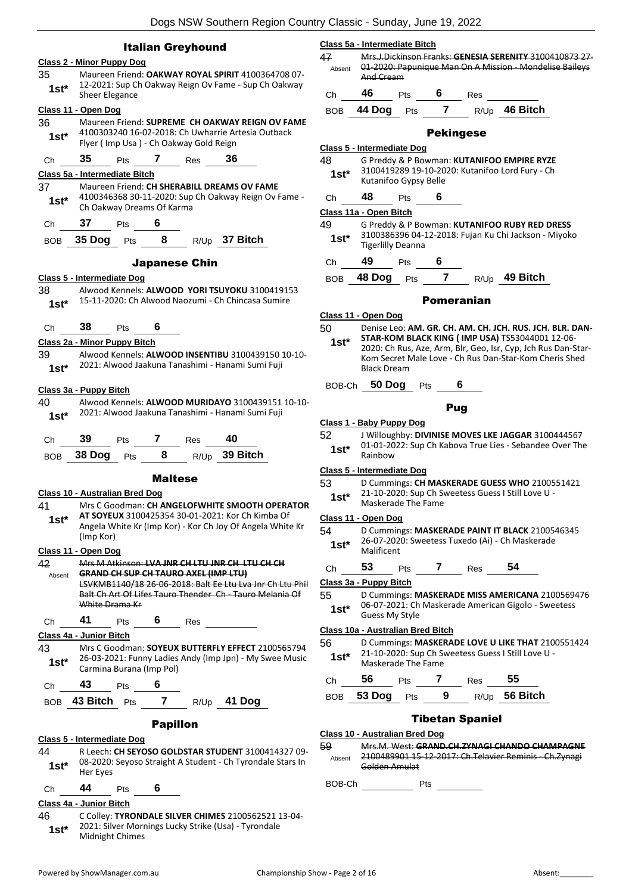#### Italian Greyhound

| ,,,,,,  |                                                              |                                                      |        |                                                      |  |  |  |  |  |  |  |
|---------|--------------------------------------------------------------|------------------------------------------------------|--------|------------------------------------------------------|--|--|--|--|--|--|--|
|         | <b>Class 2 - Minor Puppy Dog</b>                             |                                                      |        |                                                      |  |  |  |  |  |  |  |
| 35      |                                                              | Maureen Friend: OAKWAY ROYAL SPIRIT 4100364708 07-   |        |                                                      |  |  |  |  |  |  |  |
| $1st^*$ |                                                              | 12-2021: Sup Ch Oakway Reign Ov Fame - Sup Ch Oakway |        |                                                      |  |  |  |  |  |  |  |
|         | Sheer Elegance                                               |                                                      |        |                                                      |  |  |  |  |  |  |  |
|         | Class 11 - Open Dog                                          |                                                      |        |                                                      |  |  |  |  |  |  |  |
| 36      |                                                              |                                                      |        | Maureen Friend: SUPREME CH OAKWAY REIGN OV FAME      |  |  |  |  |  |  |  |
| 1st*    |                                                              |                                                      |        | 4100303240 16-02-2018: Ch Uwharrie Artesia Outback   |  |  |  |  |  |  |  |
|         |                                                              | Flyer (Imp Usa) - Ch Oakway Gold Reign               |        |                                                      |  |  |  |  |  |  |  |
| Ch      | 35                                                           | Pts 7 Res 36                                         |        |                                                      |  |  |  |  |  |  |  |
|         | Class 5a - Intermediate Bitch                                |                                                      |        |                                                      |  |  |  |  |  |  |  |
| 37      |                                                              |                                                      |        | Maureen Friend: CH SHERABILL DREAMS OV FAME          |  |  |  |  |  |  |  |
| $1st^*$ |                                                              |                                                      |        | 4100346368 30-11-2020: Sup Ch Oakway Reign Ov Fame - |  |  |  |  |  |  |  |
|         |                                                              | Ch Oakway Dreams Of Karma                            |        |                                                      |  |  |  |  |  |  |  |
| Ch      | 37 Pts 6                                                     |                                                      |        |                                                      |  |  |  |  |  |  |  |
|         | BOB 35 Dog Pts 8 R/Up 37 Bitch                               |                                                      |        |                                                      |  |  |  |  |  |  |  |
|         |                                                              |                                                      |        |                                                      |  |  |  |  |  |  |  |
|         |                                                              | <b>Japanese Chin</b>                                 |        |                                                      |  |  |  |  |  |  |  |
|         | Class 5 - Intermediate Dog                                   |                                                      |        |                                                      |  |  |  |  |  |  |  |
| 38      |                                                              |                                                      |        | Alwood Kennels: ALWOOD YORI TSUYOKU 3100419153       |  |  |  |  |  |  |  |
| 1st*    |                                                              |                                                      |        | 15-11-2020: Ch Alwood Naozumi - Ch Chincasa Sumire   |  |  |  |  |  |  |  |
|         |                                                              |                                                      |        |                                                      |  |  |  |  |  |  |  |
|         | Ch 38 Pts 6                                                  |                                                      |        |                                                      |  |  |  |  |  |  |  |
|         | Class 2a - Minor Puppy Bitch                                 |                                                      |        |                                                      |  |  |  |  |  |  |  |
| 39      |                                                              |                                                      |        | Alwood Kennels: ALWOOD INSENTIBU 3100439150 10-10-   |  |  |  |  |  |  |  |
| $1st^*$ |                                                              |                                                      |        | 2021: Alwood Jaakuna Tanashimi - Hanami Sumi Fuji    |  |  |  |  |  |  |  |
|         |                                                              |                                                      |        |                                                      |  |  |  |  |  |  |  |
|         | Class 3a - Puppy Bitch                                       |                                                      |        |                                                      |  |  |  |  |  |  |  |
| 40      | Alwood Kennels: ALWOOD MURIDAYO 3100439151 10-10-            |                                                      |        |                                                      |  |  |  |  |  |  |  |
|         | 2021: Alwood Jaakuna Tanashimi - Hanami Sumi Fuji<br>$1st^*$ |                                                      |        |                                                      |  |  |  |  |  |  |  |
|         |                                                              |                                                      |        |                                                      |  |  |  |  |  |  |  |
| Ch a    | 39                                                           | Pts 7                                                | Res 40 |                                                      |  |  |  |  |  |  |  |
|         | BOB 38 Dog Pts                                               |                                                      |        | 8 $R/Up$ 39 Bitch                                    |  |  |  |  |  |  |  |
|         |                                                              |                                                      |        |                                                      |  |  |  |  |  |  |  |
|         |                                                              | <b>Maltese</b>                                       |        |                                                      |  |  |  |  |  |  |  |

#### **Class 10 - Australian Bred Dog**

- 41 Mrs C Goodman: **CH ANGELOFWHITE SMOOTH OPERATOR AT SOYEUX** 3100425354 30-01-2021: Kor Ch Kimba Of Angela White Kr (Imp Kor) - Kor Ch Joy Of Angela White Kr **1st\***
- (Imp Kor) **Class 11 - Open Dog**
- 42 Mrs M Atkinson: **LVA JNR CH LTU JNR CH LTU CH CH GRAND CH SUP CH TAURO AXEL (IMP LTU)** LSVKMB1140/18 26-06-2018: Balt Ee Ltu Lva Jnr Ch Ltu Phil Balt Ch Art Of Lifes Tauro Thender Ch - Tauro Melania Of White Drama Kr Absent Ch **41** Pts **6** Res **Class 4a - Junior Bitch**
- 43 Mrs C Goodman: **SOYEUX BUTTERFLY EFFECT** 2100565794 26-03-2021: Funny Ladies Andy (Imp Jpn) - My Swee Music Carmina Burana (Imp Pol) **1st\***
- Ch **43** Pts **6**

BOB **43 Bitch** Pts **7** R/Up **41 Dog**

#### Papillon

#### **Class 5 - Intermediate Dog**

44 R Leech: **CH SEYOSO GOLDSTAR STUDENT** 3100414327 09- 08-2020: Seyoso Straight A Student - Ch Tyrondale Stars In 1st<sup>\* U8-2020:</sup><br>Her Eyes

## Ch **44** Pts **6**

#### **Class 4a - Junior Bitch**

46 C Colley: **TYRONDALE SILVER CHIMES** 2100562521 13-04- 2021: Silver Mornings Lucky Strike (Usa) - Tyrondale 1st<sup>\*</sup> <u>CUZI</u>: Silver Midnight Chimes

**Class 5a - Intermediate Bitch** 47 Mrs.J.Dickinson Franks: **GENESIA SERENITY** 3100410873 27- 01-2020: Papunique Man On A Mission - Mondelise Baileys And Cream Absent Ch **46** Pts **6** Res BOB **44 Dog** Pts **7** R/Up **46 Bitch**

#### Pekingese

#### **Class 5 - Intermediate Dog**

48 G Preddy & P Bowman: **KUTANIFOO EMPIRE RYZE** 3100419289 19-10-2020: Kutanifoo Lord Fury - Ch 1st\* 3100419289 19-10-20

$$
\begin{matrix} \text{Ch} & \textbf{48} & \text{Pts} & \textbf{6} \end{matrix}
$$

#### **Class 11a - Open Bitch**

- 49 G Preddy & P Bowman: **KUTANIFOO RUBY RED DRESS** 3100386396 04-12-2018: Fujan Ku Chi Jackson - Miyoko **1st**\* <sup>3100386396 04-1<br>Tigerlilly Deanna</sup>
- Ch **49** Pts **6**

BOB **48 Dog** Pts **7** R/Up **49 Bitch**

#### Pomeranian

#### **Class 11 - Open Dog**

- 50 Denise Leo: **AM. GR. CH. AM. CH. JCH. RUS. JCH. BLR. DAN-STAR-KOM BLACK KING ( IMP USA)** TS53044001 12-06- 2020: Ch Rus, Aze, Arm, Blr, Geo, Isr, Cyp, Jch Rus Dan-Star-Kom Secret Male Love - Ch Rus Dan-Star-Kom Cheris Shed **1st\***
- BOB-Ch **50 Dog** Pts **6**

Black Dream

#### Pug

- **Class 1 - Baby Puppy Dog**
- 52 J Willoughby: **DIVINISE MOVES LKE JAGGAR** 3100444567 01-01-2022: Sup Ch Kabova True Lies - Sebandee Over The 1st<sup>\*</sup> 01-01-20<br>Rainbow

#### **Class 5 - Intermediate Dog**

#### 53 D Cummings: **CH MASKERADE GUESS WHO** 2100551421

21-10-2020: Sup Ch Sweetess Guess I Still Love U - Maskerade The Fame **1st\***

#### **Class 11 - Open Dog**

- 54 D Cummings: **MASKERADE PAINT IT BLACK** 2100546345 26-07-2020: Sweetess Tuxedo (Ai) - Ch Maskerade Malificent **1st\***
- Ch **53** Pts **7** Res **54**

#### **Class 3a - Puppy Bitch**

55 D Cummings: **MASKERADE MISS AMERICANA** 2100569476 06-07-2021: Ch Maskerade American Gigolo - Sweetess **1st**\* Up-UZ-2021: Ch

#### **Class 10a - Australian Bred Bitch**

56 D Cummings: **MASKERADE LOVE U LIKE THAT** 2100551424 21-10-2020: Sup Ch Sweetess Guess I Still Love U - Maskerade The Fame **1st\***

| Ch | - 56             | <b>Pts</b> | Res | -55           |
|----|------------------|------------|-----|---------------|
|    | BOB 53 Dog Pts 9 |            |     | R/Up 56 Bitch |

#### Tibetan Spaniel

#### **Class 10 - Australian Bred Dog**

59 Mrs.M. West: **GRAND.CH.ZYNAGI CHANDO CHAMPAGNE** 2100489901 15-12-2017: Ch.Telavier Reminis - Ch.Zynagi Golden Amulat Absent

BOB-Ch Pts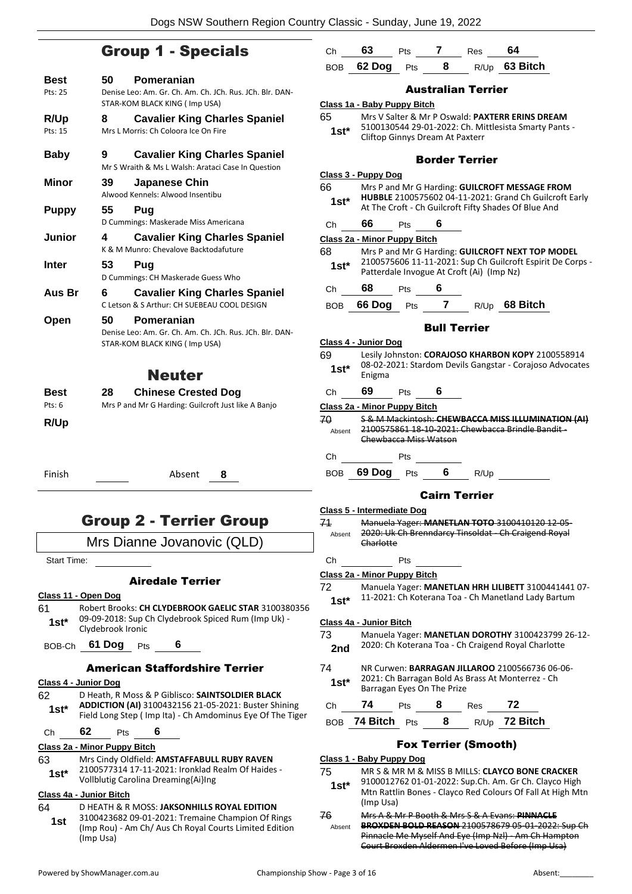## Group 1 - Specials

| Best         | Pomeranian<br>50                                                                                           |
|--------------|------------------------------------------------------------------------------------------------------------|
| Pts: 25      | Denise Leo: Am. Gr. Ch. Am. Ch. JCh. Rus. JCh. Blr. DAN-                                                   |
|              | STAR-KOM BLACK KING (Imp USA)                                                                              |
| R/Up         | 8<br><b>Cavalier King Charles Spaniel</b>                                                                  |
| Pts: 15      | Mrs L Morris: Ch Coloora Ice On Fire                                                                       |
| <b>Baby</b>  | <b>Cavalier King Charles Spaniel</b><br>9                                                                  |
|              | Mr S Wraith & Ms L Walsh: Arataci Case In Question                                                         |
| Minor        | 39<br><b>Japanese Chin</b>                                                                                 |
|              | Alwood Kennels: Alwood Insentibu                                                                           |
| <b>Puppy</b> | 55<br>Pug                                                                                                  |
|              | D Cummings: Maskerade Miss Americana                                                                       |
| Junior       | <b>Cavalier King Charles Spaniel</b><br>4                                                                  |
|              | K & M Munro: Chevalove Backtodafuture                                                                      |
| Inter        | 53<br>Pug                                                                                                  |
|              | D Cummings: CH Maskerade Guess Who                                                                         |
| Aus Br       | <b>Cavalier King Charles Spaniel</b><br>6<br>C Letson & S Arthur: CH SUEBEAU COOL DESIGN                   |
| Open         | Pomeranian<br>50                                                                                           |
|              | Denise Leo: Am. Gr. Ch. Am. Ch. JCh. Rus. JCh. Blr. DAN-                                                   |
|              | STAR-KOM BLACK KING (Imp USA)                                                                              |
|              |                                                                                                            |
|              | <b>Neuter</b>                                                                                              |
| Best         | <b>Chinese Crested Dog</b><br>28 .                                                                         |
| Pts: 6       | Mrs P and Mr G Harding: Guilcroft Just like A Banjo                                                        |
| R/Up         |                                                                                                            |
|              |                                                                                                            |
|              |                                                                                                            |
|              |                                                                                                            |
| Finish       | Absent<br>8                                                                                                |
|              |                                                                                                            |
|              |                                                                                                            |
|              | <b>Group 2 - Terrier Group</b>                                                                             |
|              | Mrs Dianne Jovanovic (QLD)                                                                                 |
| Start Time:  |                                                                                                            |
|              |                                                                                                            |
|              | Airedale Terrier                                                                                           |
|              | Class 11 - Open Dog                                                                                        |
| 61           | Robert Brooks: CH CLYDEBROOK GAELIC STAR 3100380356<br>09-09-2018: Sup Ch Clydebrook Spiced Rum (Imp Uk) - |
| $1st^*$      | Clydebrook Ironic                                                                                          |
| BOB-Ch       | 61 Dog<br>6<br>Pts                                                                                         |
|              |                                                                                                            |
|              | <b>American Staffordshire Terrier</b>                                                                      |
|              | Class 4 - Junior Dog                                                                                       |
| 62           | D Heath, R Moss & P Giblisco: SAINTSOLDIER BLACK<br>ADDICTION (AI) 3100432156 21-05-2021: Buster Shining   |
| 1st*         | Field Long Step ( Imp Ita) - Ch Amdominus Eye Of The Tiger                                                 |
| Сh           | 62<br>6<br>Pts                                                                                             |
|              | Class 2a - Minor Puppy Bitch                                                                               |
| 63           | Mrs Cindy Oldfield: AMSTAFFABULL RUBY RAVEN                                                                |
| 1st*         | 2100577314 17-11-2021: Ironklad Realm Of Haides -<br>Vollblutig Carolina Dreaming{Ai}Ing                   |
|              | Class 4a - Junior Bitch                                                                                    |
|              |                                                                                                            |

#### 64 D HEATH & R MOSS: **JAKSONHILLS ROYAL EDITION** 3100423682 09-01-2021: Tremaine Champion Of Rings (Imp Rou) - Am Ch/ Aus Ch Royal Courts Limited Edition (Imp Usa) **1st**

|         |         | Class 1a - Baby Puppy Bitch          |     |                      |                                           |                                                                                                     |                                                            |
|---------|---------|--------------------------------------|-----|----------------------|-------------------------------------------|-----------------------------------------------------------------------------------------------------|------------------------------------------------------------|
|         | 65      |                                      |     |                      |                                           | Mrs V Salter & Mr P Oswald: PAXTERR ERINS DREAM                                                     |                                                            |
|         | $1st*$  | Cliftop Ginnys Dream At Paxterr      |     |                      |                                           | 5100130544 29-01-2022: Ch. Mittlesista Smarty Pants -                                               |                                                            |
|         |         |                                      |     |                      |                                           |                                                                                                     |                                                            |
|         |         |                                      |     |                      | <b>Border Terrier</b>                     |                                                                                                     |                                                            |
|         |         | Class 3 - Puppy Dog                  |     |                      |                                           |                                                                                                     |                                                            |
|         | 66      |                                      |     |                      |                                           | Mrs P and Mr G Harding: GUILCROFT MESSAGE FROM                                                      |                                                            |
|         | $1st^*$ |                                      |     |                      |                                           |                                                                                                     | HUBBLE 2100575602 04-11-2021: Grand Ch Guilcroft Early     |
|         |         |                                      |     |                      |                                           | At The Croft - Ch Guilcroft Fifty Shades Of Blue And                                                |                                                            |
|         | Ch      | 66                                   | Pts | 6                    |                                           |                                                                                                     |                                                            |
|         |         | Class 2a - Minor Puppy Bitch         |     |                      |                                           |                                                                                                     |                                                            |
|         | 68      |                                      |     |                      |                                           | Mrs P and Mr G Harding: GUILCROFT NEXT TOP MODEL                                                    |                                                            |
|         | 1st*    |                                      |     |                      |                                           |                                                                                                     | 2100575606 11-11-2021: Sup Ch Guilcroft Espirit De Corps - |
|         |         |                                      |     |                      | Patterdale Invogue At Croft (Ai) (Imp Nz) |                                                                                                     |                                                            |
|         | Сh      | 68                                   | Pts | 6                    |                                           |                                                                                                     |                                                            |
|         | BOB     | 66 Dog                               | Pts | 7                    |                                           | R/Up 68 Bitch                                                                                       |                                                            |
|         |         |                                      |     |                      |                                           |                                                                                                     |                                                            |
| ۱N-     |         |                                      |     | <b>Bull Terrier</b>  |                                           |                                                                                                     |                                                            |
|         |         | Class 4 - Junior Dog                 |     |                      |                                           |                                                                                                     |                                                            |
|         | 69      |                                      |     |                      |                                           |                                                                                                     | Lesily Johnston: CORAJOSO KHARBON KOPY 2100558914          |
|         | $1st*$  | Enigma                               |     |                      |                                           |                                                                                                     | 08-02-2021: Stardom Devils Gangstar - Corajoso Advocates   |
|         |         |                                      |     |                      |                                           |                                                                                                     |                                                            |
|         | Ch      | 69                                   | Pts | 6                    |                                           |                                                                                                     |                                                            |
|         |         | Class 2a - Minor Puppy Bitch         |     |                      |                                           |                                                                                                     |                                                            |
|         | 70      |                                      |     |                      |                                           | 2100575861 18 10 2021: Chewbacca Brindle Bandit-                                                    | S & M Mackintosh: CHEWBACCA MISS ILLUMINATION (AI)         |
|         | Absent  | Chewbacca Miss Watson                |     |                      |                                           |                                                                                                     |                                                            |
|         |         |                                      |     |                      |                                           |                                                                                                     |                                                            |
|         | Сh      |                                      | Pts |                      |                                           |                                                                                                     |                                                            |
|         | BOB     | $69$ Dog Pts 6                       |     |                      | R/Up                                      |                                                                                                     |                                                            |
|         |         |                                      |     | <b>Cairn Terrier</b> |                                           |                                                                                                     |                                                            |
|         |         | Class 5 - Intermediate Dog           |     |                      |                                           |                                                                                                     |                                                            |
|         | 71      |                                      |     |                      |                                           | Manuela Yager: MANETLAN TOTO 3100410120 12 05-                                                      |                                                            |
|         | Absent  |                                      |     |                      |                                           | 2020: Uk Ch Brenndarcy Tinsoldat - Ch Craigend Royal                                                |                                                            |
|         |         | Charlotte                            |     |                      |                                           |                                                                                                     |                                                            |
|         | Сh      |                                      | Pts |                      |                                           |                                                                                                     |                                                            |
|         |         | <u> Class 2a - Minor Puppy Bitch</u> |     |                      |                                           |                                                                                                     |                                                            |
|         | 72      |                                      |     |                      |                                           |                                                                                                     | Manuela Yager: MANETLAN HRH LILIBETT 3100441441 07-        |
|         | $1st^*$ |                                      |     |                      |                                           | 11-2021: Ch Koterana Toa - Ch Manetland Lady Bartum                                                 |                                                            |
| 80356   |         |                                      |     |                      |                                           |                                                                                                     |                                                            |
|         |         | Class 4a - Junior Bitch              |     |                      |                                           |                                                                                                     |                                                            |
|         | 73      |                                      |     |                      |                                           |                                                                                                     | Manuela Yager: MANETLAN DOROTHY 3100423799 26-12-          |
|         | 2nd     |                                      |     |                      |                                           | 2020: Ch Koterana Toa - Ch Craigend Royal Charlotte                                                 |                                                            |
|         |         |                                      |     |                      |                                           |                                                                                                     |                                                            |
|         | 74      |                                      |     |                      |                                           | NR Curwen: BARRAGAN JILLAROO 2100566736 06-06-<br>2021: Ch Barragan Bold As Brass At Monterrez - Ch |                                                            |
|         | $1st^*$ | Barragan Eyes On The Prize           |     |                      |                                           |                                                                                                     |                                                            |
| ning    | Ch      | 74                                   |     |                      | Pts 8 Res                                 |                                                                                                     |                                                            |
| e Tiger |         |                                      |     |                      |                                           |                                                                                                     |                                                            |
|         |         |                                      |     |                      |                                           | BOB 74 Bitch Pts 8 R/Up 72 Bitch                                                                    |                                                            |
|         |         |                                      |     |                      | <b>Fox Terrier (Smooth)</b>               |                                                                                                     |                                                            |
|         |         | Class 1 - Baby Puppy Dog             |     |                      |                                           |                                                                                                     |                                                            |
|         | 75      |                                      |     |                      |                                           | MR S & MR M & MISS B MILLS: CLAYCO BONE CRACKER                                                     |                                                            |
|         | 1st*    |                                      |     |                      |                                           |                                                                                                     | 9100012762 01-01-2022: Sup.Ch. Am. Gr Ch. Clayco High      |
|         |         |                                      |     |                      |                                           |                                                                                                     | Mtn Rattlin Bones - Clayco Red Colours Of Fall At High Mtn |
|         |         | (Imp Usa)                            |     |                      |                                           |                                                                                                     |                                                            |

Ch **63** Pts **7** Res **64** BOB **62 Dog** Pts **8** R/Up **63 Bitch**

Australian Terrier

76 Mrs A & Mr P Booth & Mrs S & A Evans: **PINNACLE BROXDEN BOLD REASON** 2100578679 05-01-2022: Sup Ch Pinnacle Me Myself And Eye (Imp Nzl) - Am Ch Hampton Court Broxden Aldermen I've Loved Before (Imp Usa) Absent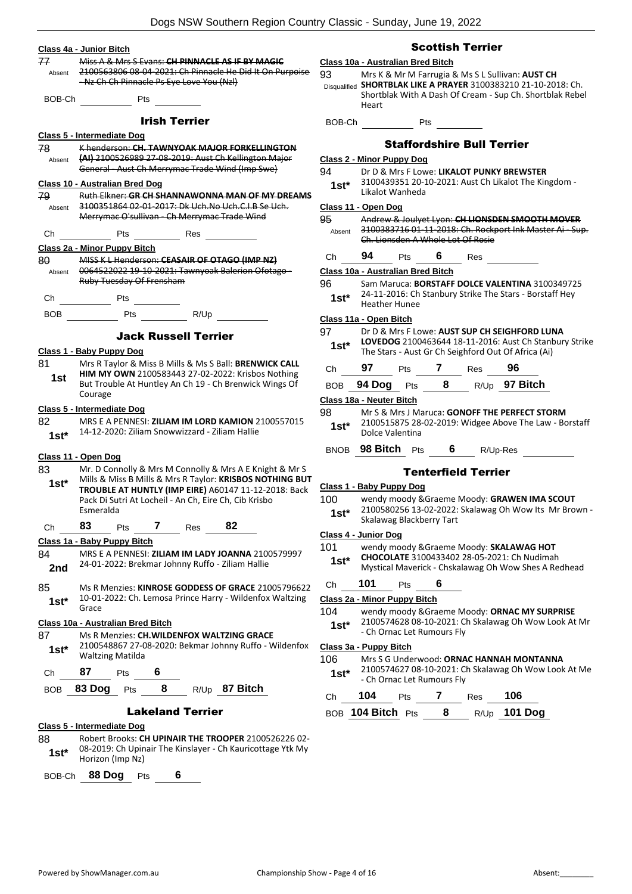#### **Class 4a - Junior Bitch**

|         | Class 4a - Junior Bitch                                                                                       |
|---------|---------------------------------------------------------------------------------------------------------------|
| 77      | Miss A & Mrs S Evans: CH PINNACLE AS IF BY MAGIC                                                              |
| Absent  | 2100563806 08 04 2021: Ch Pinnacle He Did It On Purpoise<br>-Nz Ch Ch Pinnacle Ps Eye Love You (Nzl)          |
|         |                                                                                                               |
| BOB-Ch  | <b>Pts</b>                                                                                                    |
|         | <b>Irish Terrier</b>                                                                                          |
|         | Class 5 - Intermediate Dog                                                                                    |
| 78      | K henderson: CH. TAWNYOAK MAJOR FORKELLINGTON                                                                 |
| Absent  | (AI) 2100526989 27 08 2019: Aust Ch Kellington Major<br>General - Aust Ch Merrymac Trade Wind (Imp Swe)       |
|         |                                                                                                               |
| 79      | Class 10 - Australian Bred Dog<br><b>Ruth Elkner: GR CH SHANNAWONNA MAN OF MY DREAMS</b>                      |
| Absent  | 3100351864 02 01 2017: Dk Uch. No Uch. C.I. B Se Uch.                                                         |
|         | Merrymac O'sullivan - Ch Merrymac Trade Wind                                                                  |
|         | Ch Pts Res                                                                                                    |
|         | Class 2a - Minor Puppy Bitch                                                                                  |
| 80      | MISS K L Henderson: CEASAIR OF OTAGO (IMP NZ)                                                                 |
|         | Absent 0064522022 19-10-2021: Tawnyoak Balerion Ofotago-                                                      |
|         | Ruby Tuesday Of Frensham                                                                                      |
|         | Ch ________ Pts ________                                                                                      |
| BOB     | Pts R/Up                                                                                                      |
|         | <b>Jack Russell Terrier</b>                                                                                   |
|         | Class 1 - Baby Puppy Dog                                                                                      |
| 81 —    | Mrs R Taylor & Miss B Mills & Ms S Ball: BRENWICK CALL                                                        |
| 1st     | HIM MY OWN 2100583443 27-02-2022: Krisbos Nothing                                                             |
|         | But Trouble At Huntley An Ch 19 - Ch Brenwick Wings Of                                                        |
|         | Courage                                                                                                       |
|         | Class 5 - Intermediate Dog                                                                                    |
| 82      | MRS E A PENNESI: ZILIAM IM LORD KAMION 2100557015<br>14-12-2020: Ziliam Snowwizzard - Ziliam Hallie           |
| $1st*$  |                                                                                                               |
|         | Class 11 - Open Dog                                                                                           |
| 83      | Mr. D Connolly & Mrs M Connolly & Mrs A E Knight & Mr S                                                       |
| $1st^*$ | Mills & Miss B Mills & Mrs R Taylor: KRISBOS NOTHING BUT                                                      |
|         | TROUBLE AT HUNTLY (IMP EIRE) A60147 11-12-2018: Back<br>Pack Di Sutri At Locheil - An Ch, Eire Ch, Cib Krisbo |
|         | Esmeralda                                                                                                     |
|         | 83<br>7<br>82                                                                                                 |
| Сh      | Pts<br>Res                                                                                                    |
|         | Class 1a - Baby Puppy Bitch                                                                                   |
| 84      | MRS E A PENNESI: ZILIAM IM LADY JOANNA 2100579997<br>24-01-2022: Brekmar Johnny Ruffo - Ziliam Hallie         |
| 2nd     |                                                                                                               |
| 85      | Ms R Menzies: KINROSE GODDESS OF GRACE 21005796622                                                            |
| 1st*    | 10-01-2022: Ch. Lemosa Prince Harry - Wildenfox Waltzing<br>Grace                                             |
|         | Class 10a - Australian Bred Bitch                                                                             |
| 87.     | Ms R Menzies: CH.WILDENFOX WALTZING GRACE                                                                     |
| 1st*    | 2100548867 27-08-2020: Bekmar Johnny Ruffo - Wildenfox<br><b>Waltzing Matilda</b>                             |
|         | Ch 87 Pts<br>6                                                                                                |
| BOB     | 83 Doq<br>8 <sup>8</sup><br>R/Up 87 Bitch<br>Pts                                                              |
|         | <b>Lakeland Terrier</b>                                                                                       |
|         | Class 5 - Intermediate Dog                                                                                    |
|         |                                                                                                               |

#### 88 Robert Brooks: **CH UPINAIR THE TROOPER** 2100526226 02- 08-2019: Ch Upinair The Kinslayer - Ch Kauricottage Ytk My **1st\*** 08-2019: Ch Upin<br>Horizon (Imp Nz)

| BOB-Ch | 88 Dog | Pts |  |
|--------|--------|-----|--|
|        |        |     |  |

#### Scottish Terrier

| 93              | Class 10a - Australian Bred Bitch<br>Mrs K & Mr M Farrugia & Ms S L Sullivan: AUST CH<br>Disqualified SHORTBLAK LIKE A PRAYER 3100383210 21-10-2018: Ch.<br>Shortblak With A Dash Of Cream - Sup Ch. Shortblak Rebel<br>Heart |  |  |                                   |                                                                                                                                                                |  |  |
|-----------------|-------------------------------------------------------------------------------------------------------------------------------------------------------------------------------------------------------------------------------|--|--|-----------------------------------|----------------------------------------------------------------------------------------------------------------------------------------------------------------|--|--|
|                 | BOB-Ch Pts                                                                                                                                                                                                                    |  |  |                                   |                                                                                                                                                                |  |  |
|                 |                                                                                                                                                                                                                               |  |  | <b>Staffordshire Bull Terrier</b> |                                                                                                                                                                |  |  |
|                 | <b>Class 2 - Minor Puppy Dog</b>                                                                                                                                                                                              |  |  |                                   |                                                                                                                                                                |  |  |
| 94<br>$1st^*$   | Likalot Wanheda                                                                                                                                                                                                               |  |  |                                   | Dr D & Mrs F Lowe: LIKALOT PUNKY BREWSTER<br>3100439351 20-10-2021: Aust Ch Likalot The Kingdom -                                                              |  |  |
|                 | <u>Class 11 - Open Dog</u>                                                                                                                                                                                                    |  |  |                                   |                                                                                                                                                                |  |  |
| 95              | Andrew & Joulyet Lyon: CH LIONSDEN SMOOTH MOVER<br>Absent 3100383716 01 11 2018: Ch. Rockport Ink Master Ai Sup.<br>Ch. Lionsden A Whole Lot Of Rosie                                                                         |  |  |                                   |                                                                                                                                                                |  |  |
|                 | Ch $94$ Pts 6 Res                                                                                                                                                                                                             |  |  |                                   |                                                                                                                                                                |  |  |
|                 | Class 10a - Australian Bred Bitch                                                                                                                                                                                             |  |  |                                   |                                                                                                                                                                |  |  |
| 96 -<br>$1st^*$ | Sam Maruca: BORSTAFF DOLCE VALENTINA 3100349725<br>24-11-2016: Ch Stanbury Strike The Stars - Borstaff Hey<br><b>Heather Hunee</b>                                                                                            |  |  |                                   |                                                                                                                                                                |  |  |
|                 | Class 11a - Open Bitch                                                                                                                                                                                                        |  |  |                                   |                                                                                                                                                                |  |  |
| 97<br>$1st^*$   |                                                                                                                                                                                                                               |  |  |                                   | Dr D & Mrs F Lowe: AUST SUP CH SEIGHFORD LUNA<br>LOVEDOG 2100463644 18-11-2016: Aust Ch Stanbury Strike<br>The Stars - Aust Gr Ch Seighford Out Of Africa (Ai) |  |  |
|                 | Ch 97 Pts 7 Res 96                                                                                                                                                                                                            |  |  |                                   |                                                                                                                                                                |  |  |
|                 |                                                                                                                                                                                                                               |  |  |                                   | BOB 94 Dog Pts 8 R/Up 97 Bitch                                                                                                                                 |  |  |
|                 | Class 18a - Neuter Bitch                                                                                                                                                                                                      |  |  |                                   |                                                                                                                                                                |  |  |
| 98              | Mr S & Mrs J Maruca: GONOFF THE PERFECT STORM<br>2100515875 28-02-2019: Widgee Above The Law - Borstaff<br>$1st^*$<br>Dolce Valentina                                                                                         |  |  |                                   |                                                                                                                                                                |  |  |
|                 |                                                                                                                                                                                                                               |  |  |                                   | BNOB 98 Bitch Pts 6 R/Up-Res                                                                                                                                   |  |  |
|                 |                                                                                                                                                                                                                               |  |  | <b>Tenterfield Terrier</b>        |                                                                                                                                                                |  |  |
|                 | Class 1 - Baby Puppy Dog                                                                                                                                                                                                      |  |  |                                   |                                                                                                                                                                |  |  |
| 100<br>$1st^*$  | wendy moody & Graeme Moody: GRAWEN IMA SCOUT<br>2100580256 13-02-2022: Skalawag Oh Wow Its Mr Brown -                                                                                                                         |  |  |                                   |                                                                                                                                                                |  |  |

**Skalawag Blackberry Tart** 

#### **Class 4 - Junior Dog**

- 101 wendy moody &Graeme Moody: **SKALAWAG HOT**
- **CHOCOLATE** 3100433402 28-05-2021: Ch Nudimah 1st\* CHOCOLATE 3100433402 28-05-2021: Ch Nudimah<br>Mystical Maverick - Chskalawag Oh Wow Shes A Redhead

Ch **101** Pts **6**

#### **Class 2a - Minor Puppy Bitch**

104 wendy moody &Graeme Moody: **ORNAC MY SURPRISE** 2100574628 08-10-2021: Ch Skalawag Oh Wow Look At Mr

**1st\*** 2100574628 08-10-2021: C<br>Ch Ornac Let Rumours Fly -

#### **Class 3a - Puppy Bitch**

- 106 Mrs S G Underwood: **ORNAC HANNAH MONTANNA**
- 2100574627 08-10-2021: Ch Skalawag Oh Wow Look At Me 1st\* 2100574627 08-10-2021: Cl<br>Ch Ornac Let Rumours Fly -

| Ch. | 104               | <b>Pts</b> |   | Res | 106                 |
|-----|-------------------|------------|---|-----|---------------------|
|     | BOB 104 Bitch Pts |            | 8 |     | R/Up <b>101 Dog</b> |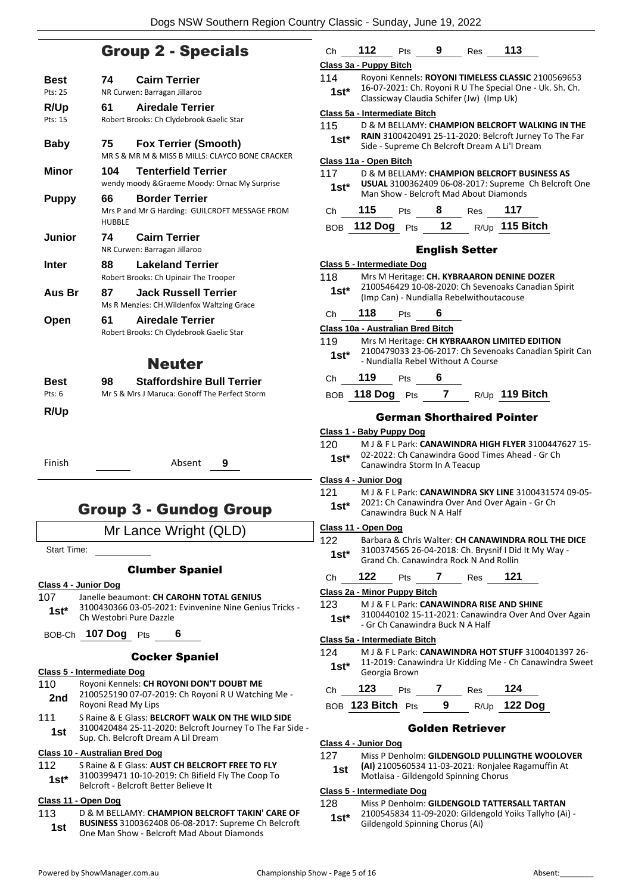## Group 2 - Specials

| Best         | 74            | <b>Cairn Terrier</b>                                                           |
|--------------|---------------|--------------------------------------------------------------------------------|
| Pts: 25      |               | NR Curwen: Barragan Jillaroo                                                   |
| R/Up         | 61            | <b>Airedale Terrier</b>                                                        |
| Pts: 15      |               | Robert Brooks: Ch Clydebrook Gaelic Star                                       |
| <b>Baby</b>  | 75.           | <b>Fox Terrier (Smooth)</b><br>MR S & MR M & MISS B MILLS: CLAYCO BONE CRACKER |
| Minor        | 104           | <b>Tenterfield Terrier</b><br>wendy moody & Graeme Moody: Ornac My Surprise    |
| <b>Puppy</b> | 66            | <b>Border Terrier</b>                                                          |
|              | <b>HURBLE</b> | Mrs P and Mr G Harding: GUILCROFT MESSAGE FROM                                 |
| Junior       | 74            | <b>Cairn Terrier</b>                                                           |
|              |               | NR Curwen: Barragan Jillaroo                                                   |
| Inter        | 88            | <b>Lakeland Terrier</b>                                                        |
|              |               | Robert Brooks: Ch Upinair The Trooper                                          |
| Aus Br       | 87            | <b>Jack Russell Terrier</b><br>Ms R Menzies: CH. Wildenfox Waltzing Grace      |
| Open         | 61            | <b>Airedale Terrier</b>                                                        |
|              |               | Robert Brooks: Ch Clydebrook Gaelic Star                                       |
|              |               | <b>Neuter</b>                                                                  |
| <b>Best</b>  | 98            | <b>Staffordshire Bull Terrier</b>                                              |
| Pts: 6       |               | Mr S & Mrs J Maruca: Gonoff The Perfect Storm                                  |
| R/Up         |               |                                                                                |
| Finish       |               | Ahsent<br>9                                                                    |
|              |               |                                                                                |

## Group 3 - Gundog Group

Mr Lance Wright (QLD)

Start Time:

#### Clumber Spaniel

#### **Class 4 - Junior Dog**

107 Janelle beaumont: **CH CAROHN TOTAL GENIUS** 3100430366 03-05-2021: Evinvenine Nine Genius Tricks - Ch Westobri Pure Dazzle **1st\***

BOB-Ch **107 Dog** Pts **6**

#### Cocker Spaniel

#### **Class 5 - Intermediate Dog**

- 110 Royoni Kennels: **CH ROYONI DON'T DOUBT ME** 2100525190 07-07-2019: Ch Royoni R U Watching Me - 2nd <sup>2100525190</sup> 07-07-2
- 111 S Raine & E Glass: **BELCROFT WALK ON THE WILD SIDE** 3100420484 25-11-2020: Belcroft Journey To The Far Side - **1st** 3100420484 25-11-2020: Belcroft Dream<br>Sup. Ch. Belcroft Dream A Lil Dream

#### **Class 10 - Australian Bred Dog**

- 112 S Raine & E Glass: **AUST CH BELCROFT FREE TO FLY** 3100399471 10-10-2019: Ch Bifield Fly The Coop To Belcroft - Belcroft Better Believe It **1st\***
- 

#### **Class 11 - Open Dog**

113 D & M BELLAMY: **CHAMPION BELCROFT TAKIN' CARE OF BUSINESS** 3100362408 06-08-2017: Supreme Ch Belcroft **1st** BUSINESS 3100362408 06-08-2017: Supreme Critical Cheaper Man Show - Belcroft Mad About Diamonds

| Ch             | 112                               | Pts                          | - 9            | Res                                      | 113                                                                                                            |
|----------------|-----------------------------------|------------------------------|----------------|------------------------------------------|----------------------------------------------------------------------------------------------------------------|
|                | Class 3a - Puppy Bitch            |                              |                |                                          |                                                                                                                |
| 114<br>$1st^*$ |                                   |                              |                | Classicway Claudia Schifer (Jw) (Imp Uk) | Royoni Kennels: ROYONI TIMELESS CLASSIC 2100569653<br>16-07-2021: Ch. Royoni R U The Special One - Uk. Sh. Ch. |
|                | Class 5a - Intermediate Bitch     |                              |                |                                          |                                                                                                                |
| 115            |                                   |                              |                |                                          | <b>D &amp; M BELLAMY: CHAMPION BELCROFT WALKING IN THE</b>                                                     |
| $1st*$         |                                   |                              |                |                                          | RAIN 3100420491 25-11-2020: Belcroft Jurney To The Far<br>Side - Supreme Ch Belcroft Dream A Li'l Dream        |
|                | Class 11a - Open Bitch            |                              |                |                                          |                                                                                                                |
| 117<br>$1st^*$ |                                   |                              |                | Man Show - Belcroft Mad About Diamonds   | D & M BELLAMY: CHAMPION BELCROFT BUSINESS AS<br>USUAL 3100362409 06-08-2017: Supreme Ch Belcroft One           |
| Ch             | 115                               | Pts                          | 8              | Res                                      | 117                                                                                                            |
| <b>BOB</b>     | 112 Dog $Pts$                     |                              | 12             |                                          | R/Up 115 Bitch                                                                                                 |
|                |                                   |                              |                | <b>English Setter</b>                    |                                                                                                                |
|                |                                   |                              |                |                                          |                                                                                                                |
|                | Class 5 - Intermediate Dog        |                              |                |                                          |                                                                                                                |
| 118            |                                   |                              |                |                                          | Mrs M Heritage: CH. KYBRAARON DENINE DOZER<br>2100546429 10-08-2020: Ch Sevenoaks Canadian Spirit              |
| $1st*$         |                                   |                              |                | (Imp Can) - Nundialla Rebelwithoutacouse |                                                                                                                |
|                |                                   |                              |                |                                          |                                                                                                                |
| Ch             | 118                               | Pts                          | 6              |                                          |                                                                                                                |
|                | Class 10a - Australian Bred Bitch |                              |                |                                          |                                                                                                                |
| 119            |                                   |                              |                |                                          | Mrs M Heritage: CH KYBRAARON LIMITED EDITION                                                                   |
| $1st*$         |                                   |                              |                |                                          | 2100479033 23-06-2017: Ch Sevenoaks Canadian Spirit Can                                                        |
|                |                                   |                              |                | - Nundialla Rebel Without A Course       |                                                                                                                |
| Ch             | 119                               | <b>Pts</b>                   | 6              |                                          |                                                                                                                |
|                | BOB 118 Dog Pts                   |                              |                |                                          | 7 R/Up 119 Bitch                                                                                               |
|                |                                   |                              |                |                                          |                                                                                                                |
|                |                                   |                              |                |                                          | <b>German Shorthaired Pointer</b>                                                                              |
|                | Class 1 - Baby Puppy Dog          |                              |                |                                          |                                                                                                                |
| 120.           |                                   |                              |                |                                          | M J & F L Park: CANAWINDRA HIGH FLYER 3100447627 15-                                                           |
| $1st*$         |                                   | Canawindra Storm In A Teacup |                |                                          | 02-2022: Ch Canawindra Good Times Ahead - Gr Ch                                                                |
|                | Class 4 - Junior Dog              |                              |                |                                          |                                                                                                                |
| 121            |                                   |                              |                |                                          | M J & F L Park: CANAWINDRA SKY LINE 3100431574 09-05-                                                          |
| $1st*$         |                                   |                              |                |                                          | 2021: Ch Canawindra Over And Over Again - Gr Ch                                                                |
|                |                                   | Canawindra Buck N A Half     |                |                                          |                                                                                                                |
|                | Class 11 - Open Dog               |                              |                |                                          |                                                                                                                |
| 122            |                                   |                              |                |                                          | Barbara & Chris Walter: CH CANAWINDRA ROLL THE DICE                                                            |
| $1st*$         |                                   |                              |                | Grand Ch. Canawindra Rock N And Rollin   | 3100374565 26-04-2018: Ch. Brysnif I Did It My Way -                                                           |
|                |                                   |                              |                |                                          |                                                                                                                |
| Ch             | 122                               | <b>Pts</b>                   | $\overline{7}$ | Res 121                                  |                                                                                                                |
|                | Class 2a - Minor Puppy Bitch      |                              |                |                                          |                                                                                                                |
| 123.           |                                   |                              |                |                                          | M J & F L Park: CANAWINDRA RISE AND SHINE                                                                      |
| $1st*$         |                                   |                              |                | - Gr Ch Canawindra Buck N A Half         | 3100440102 15-11-2021: Canawindra Over And Over Again                                                          |
|                | Class 5a - Intermediate Bitch     |                              |                |                                          |                                                                                                                |
| 124            |                                   |                              |                |                                          | M J & F L Park: CANAWINDRA HOT STUFF 3100401397 26-                                                            |
| $1st^*$        |                                   | Georgia Brown                |                |                                          | 11-2019: Canawindra Ur Kidding Me - Ch Canawindra Sweet                                                        |
| Ch             | 123                               |                              |                | Pts 7 Res 124                            |                                                                                                                |
|                |                                   |                              |                |                                          | BOB 123 Bitch Pts 9 R/Up 122 Dog                                                                               |
|                |                                   |                              |                | Golden Retriever                         |                                                                                                                |
|                | Class 4 - Junior Dog              |                              |                |                                          |                                                                                                                |
| 127.           |                                   |                              |                |                                          | Miss P Denholm: GILDENGOLD PULLINGTHE WOOLOVER                                                                 |
| 1st            |                                   |                              |                | Motlaisa - Gildengold Spinning Chorus    | (AI) 2100560534 11-03-2021: Ronjalee Ragamuffin At                                                             |
|                |                                   | E. Intermediate Dea          |                |                                          |                                                                                                                |

#### **Class 5 - Intermediate Dog**

- 128 Miss P Denholm: **GILDENGOLD TATTERSALL TARTAN**
	- 2100545834 11-09-2020: Gildengold Yoiks Tallyho (Ai) Gildengold Spinning Chorus (Ai) **1st\***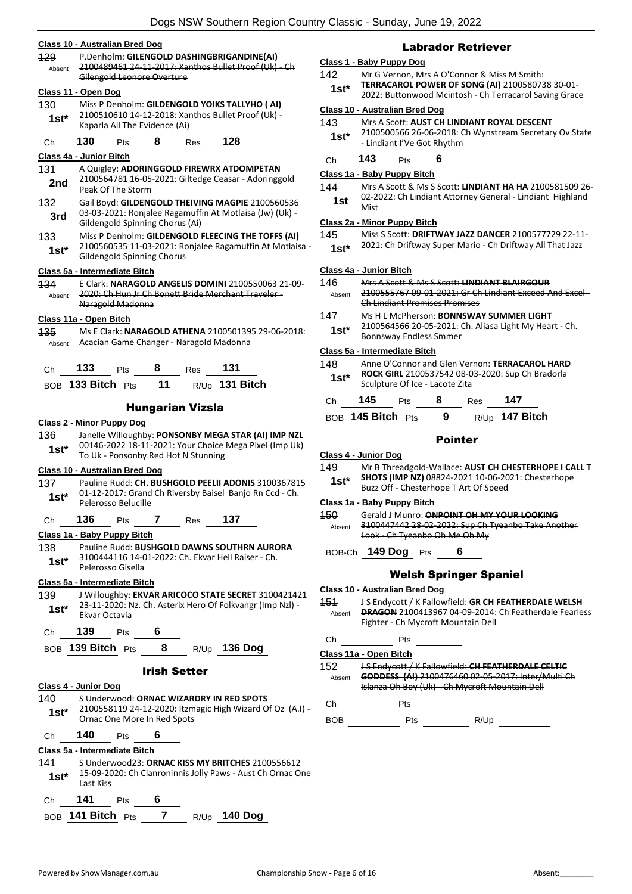|               | Class 10 - Australian Bred Dog        |                                 |              |                                     |                                                                                                             |  |
|---------------|---------------------------------------|---------------------------------|--------------|-------------------------------------|-------------------------------------------------------------------------------------------------------------|--|
| 429           |                                       |                                 |              |                                     | P.Denholm: GILENGOLD DASHINGBRIGANDINE(AI)                                                                  |  |
| Absent        |                                       |                                 |              |                                     | 2100489461 24-11-2017: Xanthos Bullet Proof (Uk) - Ch                                                       |  |
|               |                                       | Gilengold Leonore Overture      |              |                                     |                                                                                                             |  |
|               | Class 11 - Open Dog                   |                                 |              |                                     |                                                                                                             |  |
| 130           |                                       |                                 |              |                                     | Miss P Denholm: GILDENGOLD YOIKS TALLYHO (AI)<br>2100510610 14-12-2018: Xanthos Bullet Proof (Uk) -         |  |
| $1st*$        |                                       | Kaparla All The Evidence (Ai)   |              |                                     |                                                                                                             |  |
| Сh            | 130                                   | Pts                             | 8            | Res                                 | 128                                                                                                         |  |
|               | Class 4a - Junior Bitch               |                                 |              |                                     |                                                                                                             |  |
| 131           |                                       |                                 |              |                                     | A Quigley: ADORINGGOLD FIREWRX ATDOMPETAN                                                                   |  |
| 2nd           |                                       |                                 |              |                                     | 2100564781 16-05-2021: Giltedge Ceasar - Adoringgold                                                        |  |
|               |                                       | Peak Of The Storm               |              |                                     |                                                                                                             |  |
| 132           |                                       |                                 |              |                                     | Gail Boyd: GILDENGOLD THEIVING MAGPIE 2100560536<br>03-03-2021: Ronjalee Ragamuffin At Motlaisa (Jw) (Uk) - |  |
| 3rd           |                                       | Gildengold Spinning Chorus (Ai) |              |                                     |                                                                                                             |  |
| 133           |                                       |                                 |              |                                     | Miss P Denholm: GILDENGOLD FLEECING THE TOFFS (AI)                                                          |  |
| $1st^*$       |                                       |                                 |              |                                     | 2100560535 11-03-2021: Ronjalee Ragamuffin At Motlaisa -                                                    |  |
|               |                                       | Gildengold Spinning Chorus      |              |                                     |                                                                                                             |  |
|               | Class 5a - Intermediate Bitch         |                                 |              |                                     |                                                                                                             |  |
| 134<br>Absent |                                       |                                 |              |                                     | E Clark: NARAGOLD ANGELIS DOMINI 2100550063 21-09-<br>2020: Ch Hun Jr Ch Bonett Bride Merchant Traveler -   |  |
|               |                                       | Naragold Madonna                |              |                                     |                                                                                                             |  |
|               | Class 11a - Open Bitch                |                                 |              |                                     |                                                                                                             |  |
| 135           |                                       |                                 |              |                                     | Ms E Clark: NARAGOLD ATHENA 2100501395 29-06-2018:                                                          |  |
| Absent        |                                       |                                 |              |                                     | Acacian Game Changer - Naragold Madonna                                                                     |  |
|               |                                       |                                 |              |                                     |                                                                                                             |  |
| Ch            | 133                                   | Pts                             | 8            | Res                                 | 131                                                                                                         |  |
|               | BOB 133 Bitch Pts                     |                                 | 11           |                                     | R/Up 131 Bitch                                                                                              |  |
|               |                                       |                                 |              | <b>Hungarian Vizsla</b>             |                                                                                                             |  |
|               |                                       |                                 |              |                                     |                                                                                                             |  |
| 136           | <b>Class 2 - Minor Puppy Dog</b>      |                                 |              |                                     | Janelle Willoughby: PONSONBY MEGA STAR (AI) IMP NZL                                                         |  |
| 1st*          |                                       |                                 |              |                                     | 00146-2022 18-11-2021: Your Choice Mega Pixel (Imp Uk)                                                      |  |
|               |                                       |                                 |              | To Uk - Ponsonby Red Hot N Stunning |                                                                                                             |  |
|               | <b>Class 10 - Australian Bred Dog</b> |                                 |              |                                     |                                                                                                             |  |
| 137           |                                       |                                 |              |                                     | Pauline Rudd: CH. BUSHGOLD PEELII ADONIS 3100367815                                                         |  |
| $1st^*$       |                                       | Pelerosso Belucille             |              |                                     | 01-12-2017: Grand Ch Riversby Baisel Banjo Rn Ccd - Ch.                                                     |  |
|               | 136                                   | Pts                             | $\mathbf{7}$ | <b>Res</b>                          | 137                                                                                                         |  |
| Ch            |                                       |                                 |              |                                     |                                                                                                             |  |
| 138           | Class 1a - Baby Puppy Bitch           |                                 |              |                                     | Pauline Rudd: BUSHGOLD DAWNS SOUTHRN AURORA                                                                 |  |
| $1st^*$       |                                       |                                 |              |                                     | 3100444116 14-01-2022: Ch. Ekvar Hell Raiser - Ch.                                                          |  |
|               |                                       | Pelerosso Gisella               |              |                                     |                                                                                                             |  |
|               | Class 5a - Intermediate Bitch         |                                 |              |                                     |                                                                                                             |  |
| 139           |                                       |                                 |              |                                     | J Willoughby: EKVAR ARICOCO STATE SECRET 3100421421                                                         |  |
| $1st*$        | Ekvar Octavia                         |                                 |              |                                     | 23-11-2020: Nz. Ch. Asterix Hero Of Folkvangr (Imp Nzl) -                                                   |  |
|               | 139                                   |                                 | 6            |                                     |                                                                                                             |  |
| Ch            |                                       | Pts                             |              |                                     |                                                                                                             |  |
|               | BOB 139 Bitch Pts                     |                                 | 8.           |                                     | R/Up <b>136 Dog</b>                                                                                         |  |
|               |                                       |                                 |              | <b>Irish Setter</b>                 |                                                                                                             |  |
|               | Class 4 - Junior Dog                  |                                 |              |                                     |                                                                                                             |  |
| 140           |                                       |                                 |              |                                     | S Underwood: ORNAC WIZARDRY IN RED SPOTS                                                                    |  |
| 1st*          |                                       |                                 |              |                                     | 2100558119 24-12-2020: Itzmagic High Wizard Of Oz (A.I) -                                                   |  |
|               |                                       | Ornac One More In Red Spots     |              |                                     |                                                                                                             |  |
| Ch            | 140                                   | Pts                             | 6            |                                     |                                                                                                             |  |
|               | Class 5a - Intermediate Bitch         |                                 |              |                                     |                                                                                                             |  |
| 141           |                                       |                                 |              |                                     | S Underwood23: ORNAC KISS MY BRITCHES 2100556612                                                            |  |
| 1st*          | Last Kiss                             |                                 |              |                                     | 15-09-2020: Ch Cianroninnis Jolly Paws - Aust Ch Ornac One                                                  |  |
|               | 141 Dto                               |                                 | ĥ            |                                     |                                                                                                             |  |
|               |                                       |                                 |              |                                     |                                                                                                             |  |

## Ch **141** Pts **6**

| BOB 141 Bitch Pts |  | R/Up <b>140 Dog</b> |
|-------------------|--|---------------------|
|                   |  |                     |

#### Labrador Retriever

#### **Class 1 - Baby Puppy Dog**

142 Mr G Vernon, Mrs A O'Connor & Miss M Smith: **TERRACAROL POWER OF SONG (AI)** 2100580738 30-01- **1st\*** IERRACAROL POWER OF SONG (AI) 2100580738 30-01-<br>2022: Buttonwood Mcintosh - Ch Terracarol Saving Grace

## **Class 10 - Australian Bred Dog**

- 143 Mrs A Scott: **AUST CH LINDIANT ROYAL DESCENT**
- 2100500566 26-06-2018: Ch Wynstream Secretary Ov State - Lindiant I'Ve Got Rhythm **1st\***
- Ch **143** Pts **6**

#### **Class 1a - Baby Puppy Bitch**

144 Mrs A Scott & Ms S Scott: **LINDIANT HA HA** 2100581509 26- 02-2022: Ch Lindiant Attorney General - Lindiant Highland Mist **1st**

#### **Class 2a - Minor Puppy Bitch**

- 145 Miss S Scott: **DRIFTWAY JAZZ DANCER** 2100577729 22-11-
- 1st\* 2021: Ch Driftway Super Mario Ch Driftway All That Jazz

#### **Class 4a - Junior Bitch**

| Absent        | Mrs A Scott & Ms S Scott: LINDIANT BLAIRGOUR<br>2100555767.09-01-2021; Gr.Ch Lindiant Exceed And Excel-<br><u>Ch Lindiant Promises Promises</u> |
|---------------|-------------------------------------------------------------------------------------------------------------------------------------------------|
| 147<br>$1st*$ | Ms H L McPherson: <b>BONNSWAY SUMMER LIGHT</b><br>2100564566 20-05-2021: Ch. Aliasa Light My Heart - Ch.<br><b>Bonnsway Endless Smmer</b>       |
|               | Class 5a - Intermediate Bitch                                                                                                                   |
| 148<br>$1st*$ | Anne O'Connor and Glen Vernon: TERRACAROL HARD<br>ROCK GIRL 2100537542 08-03-2020: Sup Ch Bradorla                                              |

| 48     | Anne O'Connor and Glen Vernon: TERRACAROL HARD          |
|--------|---------------------------------------------------------|
| $1st*$ | <b>ROCK GIRL</b> 2100537542 08-03-2020: Sup Ch Bradorla |
|        | Sculpture Of Ice - Lacote Zita                          |

| Ch - | 145               | Pts | - 8 | Res | 147              |
|------|-------------------|-----|-----|-----|------------------|
|      | BOB 145 Bitch Pts |     |     |     | $R/Up$ 147 Bitch |

#### Pointer

#### **Class 4 - Junior Dog**

149 Mr B Threadgold-Wallace: **AUST CH CHESTERHOPE I CALL T SHOTS (IMP NZ)** 08824-2021 10-06-2021: Chesterhope **1st\*** SHOTS (IMP NZ) 08824-2021 10-06-20<br>Buzz Off - Chesterhope T Art Of Speed

#### **Class 1a - Baby Puppy Bitch**

#### 150 Gerald J Munro: **ONPOINT OH MY YOUR LOOKING** 3100447442 28-02-2022: Sup Ch Tyeanbo Take Another Look - Ch Tyeanbo Oh Me Oh My Absent

BOB-Ch **149 Dog** Pts **6**

#### Welsh Springer Spaniel

- **Class 10 - Australian Bred Dog**
- 151 J S Endycott / K Fallowfield: **GR CH FEATHERDALE WELSH DRAGON** 2100413967 04-09-2014: Ch Featherdale Fearless Fighter - Ch Mycroft Mountain Dell Absent

## Ch Pts

#### **Class 11a - Open Bitch**

152 J S Endycott / K Fallowfield: **CH FEATHERDALE CELTIC GODDESS (AI)** 2100476460 02-05-2017: Inter/Multi Ch Islanza Oh Boy (Uk) - Ch Mycroft Mountain Dell Absent

## Ch Pts BOB Pts R/Up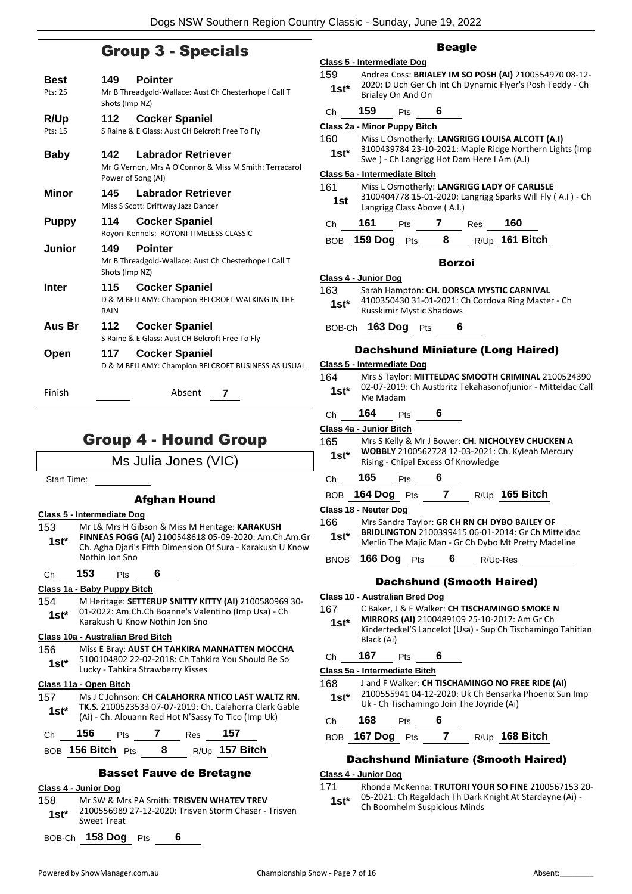## Group 3 - Specials

| Best               | 149.<br><b>Pointer</b>                                                                                             |
|--------------------|--------------------------------------------------------------------------------------------------------------------|
| Pts: 25            | Mr B Threadgold-Wallace: Aust Ch Chesterhope I Call T                                                              |
|                    | Shots (Imp NZ)                                                                                                     |
| R/Up               | <b>Cocker Spaniel</b><br>112                                                                                       |
| Pts: 15            | S Raine & E Glass: Aust CH Belcroft Free To Fly                                                                    |
|                    |                                                                                                                    |
| <b>Baby</b>        | 142.<br><b>Labrador Retriever</b>                                                                                  |
|                    | Mr G Vernon, Mrs A O'Connor & Miss M Smith: Terracarol<br>Power of Song (AI)                                       |
| <b>Minor</b>       | <b>Labrador Retriever</b><br>145                                                                                   |
|                    | Miss S Scott: Driftway Jazz Dancer                                                                                 |
| <b>Puppy</b>       | <b>Cocker Spaniel</b><br>114                                                                                       |
|                    | Royoni Kennels: ROYONI TIMELESS CLASSIC                                                                            |
| Junior             | 149<br><b>Pointer</b>                                                                                              |
|                    | Mr B Threadgold-Wallace: Aust Ch Chesterhope I Call T                                                              |
|                    | Shots (Imp NZ)                                                                                                     |
| <b>Inter</b>       | <b>Cocker Spaniel</b><br>115                                                                                       |
|                    | D & M BELLAMY: Champion BELCROFT WALKING IN THE                                                                    |
|                    | RAIN                                                                                                               |
| Aus Br             | 112<br><b>Cocker Spaniel</b>                                                                                       |
|                    | S Raine & E Glass: Aust CH Belcroft Free To Fly                                                                    |
| Open               | <b>Cocker Spaniel</b><br>117                                                                                       |
|                    | D & M BELLAMY: Champion BELCROFT BUSINESS AS USUAL                                                                 |
|                    |                                                                                                                    |
| Finish             | Absent<br>7                                                                                                        |
|                    |                                                                                                                    |
|                    |                                                                                                                    |
|                    | <b>Group 4 - Hound Group</b>                                                                                       |
|                    | Ms Julia Jones (VIC)                                                                                               |
| <b>Start Time:</b> |                                                                                                                    |
|                    |                                                                                                                    |
|                    | <b>Afghan Hound</b>                                                                                                |
|                    | Class 5 - Intermediate Dog                                                                                         |
| 153                | Mr L& Mrs H Gibson & Miss M Heritage: KARAKUSH                                                                     |
| 1st*               | FINNEAS FOGG (AI) 2100548618 05-09-2020: Am.Ch.Am.Gr<br>Ch. Agha Djari's Fifth Dimension Of Sura - Karakush U Know |
|                    | Nothin Jon Sno                                                                                                     |
| Ch                 | 153<br>6<br>Pts                                                                                                    |
|                    | Class 1a - Baby Puppy Bitch                                                                                        |
| 154                | M Heritage: SETTERUP SNITTY KITTY (AI) 2100580969 30-                                                              |
| 1st*               | 01-2022: Am.Ch.Ch Boanne's Valentino (Imp Usa) - Ch                                                                |
|                    | Karakush U Know Nothin Jon Sno                                                                                     |
|                    | <u> Class 10a - Australian Bred Bitch</u>                                                                          |
| 156                | Miss E Bray: AUST CH TAHKIRA MANHATTEN MOCCHA<br>5100104802 22-02-2018: Ch Tahkira You Should Be So                |
| $1st*$             | Lucky - Tahkira Strawberry Kisses                                                                                  |
|                    |                                                                                                                    |

#### **Class 11a - Open Bitch**

157 Ms J C Johnson: **CH CALAHORRA NTICO LAST WALTZ RN. TK.S.** 2100523533 07-07-2019: Ch. Calahorra Clark Gable (Ai) - Ch. Alouann Red Hot N'Sassy To Tico (Imp Uk) **1st\***

| эo | ıs<br>$\sim$ | еs | 51<br>__ |
|----|--------------|----|----------|
|    |              |    |          |



#### Basset Fauve de Bretagne

#### **Class 4 - Junior Dog**

- 158 Mr SW & Mrs PA Smith: **TRISVEN WHATEV TREV**
- 2100556989 27-12-2020: Trisven Storm Chaser Trisven Sweet Treat **1st\***
- BOB-Ch **158 Dog** Pts **6**

#### Beagle

- **Class 5 - Intermediate Dog** 159 Andrea Coss: **BRIALEY IM SO POSH (AI)** 2100554970 08-12- 2020: D Uch Ger Ch Int Ch Dynamic Flyer's Posh Teddy - Ch **1st**\* 2020: D Uch Ger C<br>Brialey On And On
- Ch **159** Pts **6**

#### **Class 2a - Minor Puppy Bitch**

160 Miss L Osmotherly: **LANGRIGG LOUISA ALCOTT (A.I)** 3100439784 23-10-2021: Maple Ridge Northern Lights (Imp **1st** 3100439784 23-10-2021: Maple Ridge Nortlands 3000 Swe ) - Ch Langrigg Hot Dam Here I Am (A.I)

#### **Class 5a - Intermediate Bitch**

- 161 Miss L Osmotherly: **LANGRIGG LADY OF CARLISLE** 3100404778 15-01-2020: Langrigg Sparks Will Fly ( A.I ) - Ch **1st** 3100404778 15-01-2020: L<br>Langrigg Class Above ( A.I.)
- Ch **161** Pts **7** Res **160**
- BOB **159 Dog** Pts **8** R/Up **161 Bitch**

#### Borzoi

#### **Class 4 - Junior Dog**

- 163 Sarah Hampton: **CH. DORSCA MYSTIC CARNIVAL**
	- 4100350430 31-01-2021: Ch Cordova Ring Master Ch Russkimir Mystic Shadows **1st\***
- BOB-Ch **163 Dog** Pts **6**

#### Dachshund Miniature (Long Haired)

- **Class 5 - Intermediate Dog** 164 Mrs S Taylor: **MITTELDAC SMOOTH CRIMINAL** 2100524390 02-07-2019: Ch Austbritz Tekahasonofjunior - Mitteldac Call **1st**\*  $\frac{02-07-2019}{Me M$ Ch **164** Pts **6 Class 4a - Junior Bitch** 165 Mrs S Kelly & Mr J Bower: **CH. NICHOLYEV CHUCKEN A WOBBLY** 2100562728 12-03-2021: Ch. Kyleah Mercury **1st\*** WOBBLY 2100562728 12-03-2021: **1st\***<br>Rising - Chipal Excess Of Knowledge Ch **165** Pts **6** BOB **164 Dog** Pts **7** R/Up **165 Bitch Class 18 - Neuter Dog** 166 Mrs Sandra Taylor: **GR CH RN CH DYBO BAILEY OF BRIDLINGTON** 2100399415 06-01-2014: Gr Ch Mitteldac Merlin The Majic Man - Gr Ch Dybo Mt Pretty Madeline **1st\*** BNOB **166 Dog** Pts **6** R/Up-Res Dachshund (Smooth Haired) **Class 10 - Australian Bred Dog** 167 C Baker, J & F Walker: **CH TISCHAMINGO SMOKE N MIRRORS (AI)** 2100489109 25-10-2017: Am Gr Ch
	- Kinderteckel'S Lancelot (Usa) Sup Ch Tischamingo Tahitian Black (Ai) **1st\***

#### Ch **167** Pts **6**

#### **Class 5a - Intermediate Bitch**

- 168 J and F Walker: **CH TISCHAMINGO NO FREE RIDE (AI)** 2100555941 04-12-2020: Uk Ch Bensarka Phoenix Sun Imp **1st** 2100555941 04-12-2020: UK Ch Bensarka<br>Uk - Ch Tischamingo Join The Joyride (Ai)
- Ch **168** Pts **6**
- BOB **167 Dog** Pts **7** R/Up **168 Bitch**

#### Dachshund Miniature (Smooth Haired)

#### **Class 4 - Junior Dog**

#### 171 Rhonda McKenna: **TRUTORI YOUR SO FINE** 2100567153 20-

05-2021: Ch Regaldach Th Dark Knight At Stardayne (Ai) - **1st** US-2021: Ch Regaluature In Dark in the Ch Boomhelm Suspicious Minds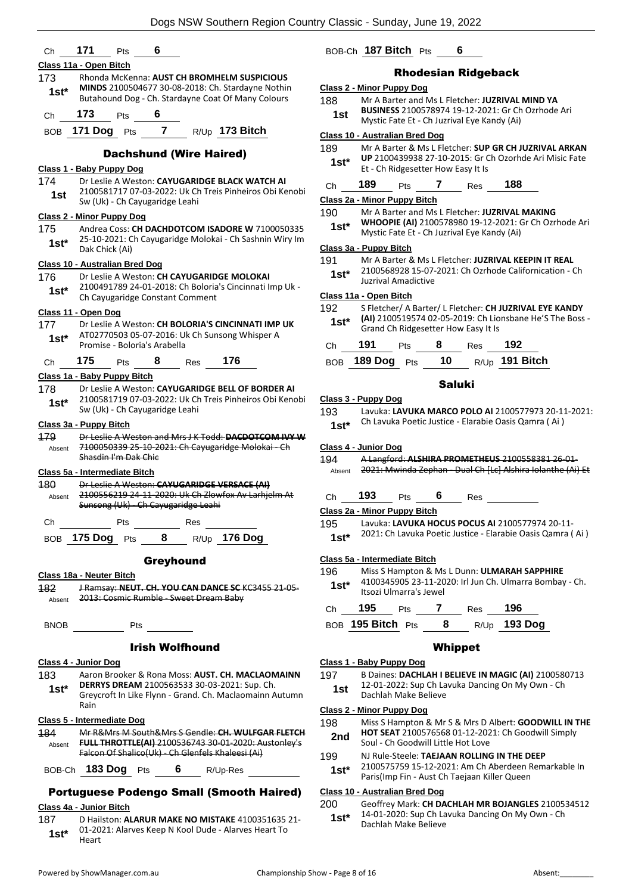| Ch               | 171<br>6<br>Pts                                                                                           | BOB-Ch 1              |                       |
|------------------|-----------------------------------------------------------------------------------------------------------|-----------------------|-----------------------|
|                  | Class 11a - Open Bitch                                                                                    |                       |                       |
| 173              | Rhonda McKenna: AUST CH BROMHELM SUSPICIOUS<br>MINDS 2100504677 30-08-2018: Ch. Stardayne Nothin          | Class 2 - Min         |                       |
| $1st^*$          | Butahound Dog - Ch. Stardayne Coat Of Many Colours                                                        | 188                   | Mr                    |
| Ch               | 173<br>6<br><b>Pts</b>                                                                                    | 1st                   | BU<br>M)              |
| BOB              | Pts 7<br>R/Up 173 Bitch<br>171 Dog                                                                        | Class 10 - Au         |                       |
|                  | <b>Dachshund (Wire Haired)</b>                                                                            | 189                   | Mr                    |
|                  | Class 1 - Baby Puppy Dog                                                                                  | $1st*$                | UP<br>Et              |
| 174              | Dr Leslie A Weston: CAYUGARIDGE BLACK WATCH AI                                                            |                       |                       |
| 1st              | 2100581717 07-03-2022: Uk Ch Treis Pinheiros Obi Kenobi<br>Sw (Uk) - Ch Cayugaridge Leahi                 | Сh<br>Class 2a - Mi   | 18                    |
|                  |                                                                                                           | 190                   | Mr                    |
| 175              | <b>Class 2 - Minor Puppy Dog</b><br>Andrea Coss: CH DACHDOTCOM ISADORE W 7100050335                       | $1st^*$               | WI                    |
| $1st*$           | 25-10-2021: Ch Cayugaridge Molokai - Ch Sashnin Wiry Im                                                   |                       | M <sub>)</sub>        |
|                  | Dak Chick (Ai)                                                                                            | Class 3a - Pu         |                       |
|                  | Class 10 - Australian Bred Dog                                                                            | 191                   | Mr                    |
| 176              | Dr Leslie A Weston: CH CAYUGARIDGE MOLOKAI                                                                | 1st*                  | 21<br>Juz             |
| $1st*$           | 2100491789 24-01-2018: Ch Boloria's Cincinnati Imp Uk -                                                   |                       |                       |
|                  | Ch Cayugaridge Constant Comment                                                                           | <u> Class 11a - C</u> |                       |
|                  | Class 11 - Open Dog                                                                                       | 192                   | S <sub>F</sub><br>(Al |
| 177              | Dr Leslie A Weston: CH BOLORIA'S CINCINNATI IMP UK                                                        | 1st*                  | Gr                    |
| $1st*$           | AT02770503 05-07-2016: Uk Ch Sunsong Whisper A<br>Promise - Boloria's Arabella                            | Сh                    | 19                    |
| Ch               | 176<br>175<br>8<br>Pts<br>Res                                                                             | BOB                   | 189                   |
|                  | Class 1a - Baby Puppy Bitch                                                                               |                       |                       |
| 178              | Dr Leslie A Weston: CAYUGARIDGE BELL OF BORDER AI                                                         |                       |                       |
| $1st^*$          | 2100581719 07-03-2022: Uk Ch Treis Pinheiros Obi Kenobi                                                   | Class 3 - Pur         |                       |
|                  | Sw (Uk) - Ch Cayugaridge Leahi                                                                            | 193                   | La                    |
|                  | Class 3a - Puppy Bitch                                                                                    | $1st*$                | Ch                    |
| 179              | Dr Leslie A Weston and Mrs J K Todd: DACDOTCOM IVY W                                                      |                       |                       |
| Absent           | 7100050339 25-10-2021: Ch Cayugaridge Molokai - Ch<br>Shasdin I'm Dak Chie                                | Class 4 - Jun<br>194  | Αł                    |
|                  | Class 5a - Intermediate Bitch                                                                             | Absent                | 20                    |
| 180              | Dr Leslie A Weston: CAYUGARIDGE VERSACE (AI)                                                              |                       |                       |
| Absent           | 2100556219 24-11-2020: Uk Ch Zlowfox Av Larhjelm At                                                       | Сh                    | 19 <sup>°</sup>       |
|                  | Sunsong (Uk) Ch Cayugaridge Leahi                                                                         | Class 2a - Mi         |                       |
| Ch <sub>an</sub> | Pts Res                                                                                                   | 195                   | La                    |
|                  | BOB 175 Dog Pts 8 R/Up 176 Dog                                                                            | $1st*$                | 20                    |
|                  |                                                                                                           |                       |                       |
|                  | <b>Greyhound</b>                                                                                          | Class 5a - Int        |                       |
|                  | Class 18a - Neuter Bitch                                                                                  | 196                   | Mi                    |
| 182<br>Absent    | J Ramsay: NEUT. CH. YOU CAN DANCE SC KC3455 21-05-<br>2013: Cosmic Rumble Sweet Dream Baby                | $1st*$                | 41<br>lts             |
|                  |                                                                                                           | Ch                    | 19 <sub>3</sub>       |
| <b>BNOB</b>      | <b>Example 19</b> Pts                                                                                     | BOB 195               |                       |
|                  | <b>Irish Wolfhound</b>                                                                                    |                       |                       |
|                  | Class 4 - Junior Dog                                                                                      | Class 1 - Bat         |                       |
| 183              | Aaron Brooker & Rona Moss: AUST. CH. MACLAOMAINN                                                          | 197                   | ΒL                    |
| 1st*             | DERRYS DREAM 2100563533 30-03-2021: Sup. Ch.                                                              | 1st                   | 12                    |
|                  | Greycroft In Like Flynn - Grand. Ch. Maclaomainn Autumn<br>Rain                                           |                       | Da                    |
|                  |                                                                                                           | Class 2 - Min         |                       |
|                  | Class 5 - Intermediate Dog                                                                                | 198                   | Mi                    |
| 184<br>Absent    | Mr R&Mrs M South&Mrs S Gendle: CH. WULFGAR FLETCH<br>FULL THROTTLE(AI) 2100536743 30-01-2020: Austonley's | 2nd                   | HС<br>So              |
|                  | Falcon Of Shalico(Uk) - Ch Glenfels Khaleesi (Ai)                                                         | 199.                  | ΝI                    |

BOB-Ch **183 Dog** Pts **6** R/Up-Res

## Portuguese Podengo Small (Smooth Haired)

#### **Class 4a - Junior Bitch**

187 D Hailston: **ALARUR MAKE NO MISTAKE** 4100351635 21- 01-2021: Alarves Keep N Kool Dude - Alarves Heart To 1st<sup>\*</sup> <sup>U1-20</sup><br>Heart

#### BOB-Ch **187 Bitch** Pts **6**

#### Rhodesian Ridgeback

#### **Class 2 - Minor Puppy Dog**

- A Barter and Ms L Fletcher: **JUZRIVAL MIND YA**
- **BUSINESS** 2100578974 19-12-2021: Gr Ch Ozrhode Ari
- ystic Fate Et Ch Juzrival Eye Kandy (Ai)

#### **Class 10 - Australian Bred Dog**

- **A Barter & Ms L Fletcher: SUP GR CH JUZRIVAL ARKAN UP** 2100439938 27-10-2015: Gr Ch Ozorhde Ari Misic Fate - Ch Ridgesetter How Easy It Is
	- Ch **189** Pts **7** Res **188**

#### **Class 2a - Minor Puppy Bitch**

- 190 Mr A Barter and Ms L Fletcher: **JUZRIVAL MAKING**
- **WHOOPIE (AI)** 2100578980 19-12-2021: Gr Ch Ozrhode Ari ystic Fate Et - Ch Juzrival Eye Kandy (Ai)

#### **Class 3a - Puppy Bitch**

191 Mr A Barter & Ms L Fletcher: **JUZRIVAL KEEPIN IT REAL** 2100568928 15-07-2021: Ch Ozrhode Californication - Ch **zrival Amadictive** 

#### **Class 11a - Open Bitch**

Fletcher/ A Barter/ L Fletcher: CH JUZRIVAL EYE KANDY **(AI)** 2100519574 02-05-2019: Ch Lionsbane He'S The Boss and Ch Ridgesetter How Easy It Is

| Ch 191 Pts 8 Res 192 |  |                                   |
|----------------------|--|-----------------------------------|
|                      |  | BOB 189 Dog Pts 10 R/Up 191 Bitch |

#### Saluki

#### **Class 3 - Puppy Dog**

193 Lavuka: **LAVUKA MARCO POLO AI** 2100577973 20-11-2021: Lavuka Poetic Justice - Elarabie Oasis Qamra ( Ai )

#### **Class 4 - Junior Dog**

194 A Langford: **ALSHIRA PROMETHEUS** 2100558381 26-01- 21: Mwinda Zephan - Dual Ch [Lc] Alshira Iolanthe (Ai) Et

#### Ch **193** Pts **6** Res

#### **Class 2a - Minor Puppy Bitch**

195 Lavuka: **LAVUKA HOCUS POCUS AI** 2100577974 20-11- 2021: Ch Lavuka Poetic Justice - Elarabie Oasis Qamra ( Ai ) **1st\***

#### **Class 5a - Intermediate Bitch**

| 196    | Miss S Hampton & Ms L Dunn: ULMARAH SAPPHIRE            |
|--------|---------------------------------------------------------|
| $1st*$ | 4100345905 23-11-2020: Irl Jun Ch. Ulmarra Bombay - Ch. |
|        | Itsozi Ulmarra's Jewel                                  |

| Ch. | 195                   | <b>Pts</b> |   | Res | 196                 |
|-----|-----------------------|------------|---|-----|---------------------|
|     | $BOB$ 195 Bitch $Pts$ |            | 8 |     | R/Up <b>193 Dog</b> |

#### Whippet

#### **Class 1 - Baby Puppy Dog**

- Daines: **DACHLAH I BELIEVE IN MAGIC (AI)** 2100580713 12-01-2022: Sup Ch Lavuka Dancing On My Own - Ch
- Dachlah Make Believe **1st**

#### **Class 2 - Minor Puppy Dog**

- 198 Miss S Hampton & Mr S & Mrs D Albert: **GOODWILL IN THE HOT SEAT** 2100576568 01-12-2021: Ch Goodwill Simply UL - Ch Goodwill Little Hot Love
- 199 NJ Rule-Steele: **TAEJAAN ROLLING IN THE DEEP**
- 2100575759 15-12-2021: Am Ch Aberdeen Remarkable In Paris(Imp Fin - Aust Ch Taejaan Killer Queen **1st\***

#### **Class 10 - Australian Bred Dog**

200 Geoffrey Mark: **CH DACHLAH MR BOJANGLES** 2100534512 14-01-2020: Sup Ch Lavuka Dancing On My Own - Ch

**1st** <sup>14-01-2020: Sup Ch La<br>Dachlah Make Believe</sup>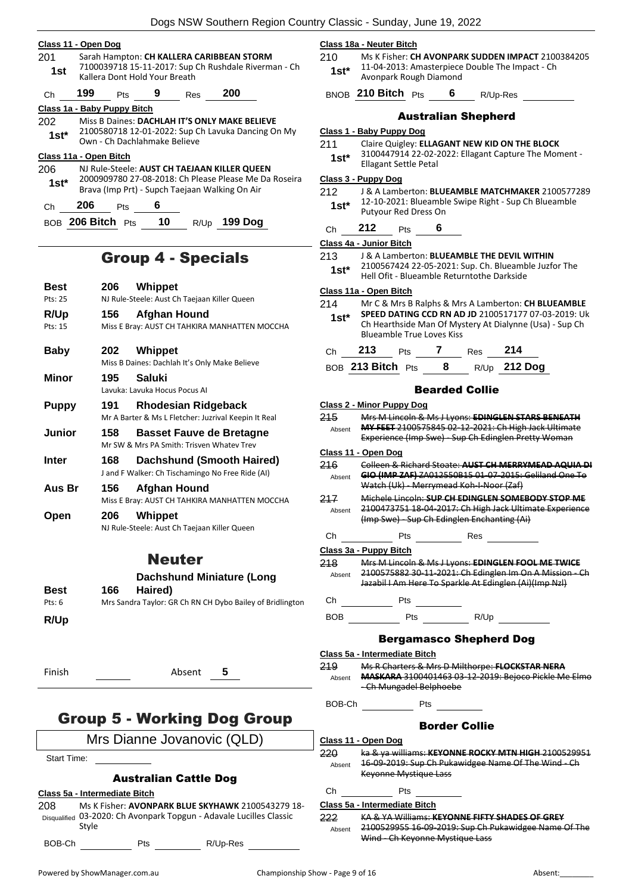| Dogs NSW Southern Region Country Classic - Sunday, June 19, 2022 |  |  |  |  |
|------------------------------------------------------------------|--|--|--|--|
|                                                                  |  |  |  |  |

#### **Class 11 - Open Dog**

| 201<br>1st             | 2<br>Sarah Hampton: CH KALLERA CARIBBEAN STORM<br>7100039718 15-11-2017: Sup Ch Rushdale Riverman - Ch<br>Kallera Dont Hold Your Breath |                                                                                                                                       |     |            |                                               |  |  |  |
|------------------------|-----------------------------------------------------------------------------------------------------------------------------------------|---------------------------------------------------------------------------------------------------------------------------------------|-----|------------|-----------------------------------------------|--|--|--|
|                        |                                                                                                                                         |                                                                                                                                       |     |            |                                               |  |  |  |
| Ch                     | 199                                                                                                                                     | Pts                                                                                                                                   | - 9 | <b>Res</b> | 200                                           |  |  |  |
|                        |                                                                                                                                         | Class 1a - Baby Puppy Bitch                                                                                                           |     |            |                                               |  |  |  |
| 202                    |                                                                                                                                         |                                                                                                                                       |     |            | Miss B Daines: DACHLAH IT'S ONLY MAKE BELIEVE |  |  |  |
| $1st^*$                |                                                                                                                                         | 2100580718 12-01-2022: Sup Ch Lavuka Dancing On My<br><u>c</u><br>$\overline{2}$<br>Own - Ch Dachlahmake Believe                      |     |            |                                               |  |  |  |
| Class 11a - Open Bitch |                                                                                                                                         |                                                                                                                                       |     |            |                                               |  |  |  |
| 206                    |                                                                                                                                         |                                                                                                                                       |     |            | NJ Rule-Steele: AUST CH TAEJAAN KILLER QUEEN  |  |  |  |
| $1st*$                 |                                                                                                                                         | 2000909780 27-08-2018: Ch Please Please Me Da Roseira<br><u>c</u><br>$\overline{2}$<br>Brava (Imp Prt) - Supch Taejaan Walking On Air |     |            |                                               |  |  |  |
| Сh                     | 206                                                                                                                                     | Pts                                                                                                                                   | 6   |            |                                               |  |  |  |
| <b>BOB</b>             | <b>206 Bitch</b> $P$ ts                                                                                                                 |                                                                                                                                       | 10  | R/Up       | 199 Doa                                       |  |  |  |

### Group 4 - Specials

| Best<br>Pts: 25 | 206 | <b>Whippet</b><br>NJ Rule-Steele: Aust Ch Taejaan Killer Queen                |
|-----------------|-----|-------------------------------------------------------------------------------|
| R/Up<br>Pts: 15 | 156 | Afghan Hound<br>Miss E Bray: AUST CH TAHKIRA MANHATTEN MOCCHA                 |
| Baby            | 202 | <b>Whippet</b><br>Miss B Daines: Dachlah It's Only Make Believe               |
| Minor           | 195 | Saluki<br>Lavuka: Lavuka Hocus Pocus Al                                       |
| Puppy           | 191 | Rhodesian Ridgeback<br>Mr A Barter & Ms L Fletcher: Juzrival Keepin It Real   |
| <b>Junior</b>   | 158 | <b>Basset Fauve de Bretagne</b><br>Mr SW & Mrs PA Smith: Trisven Whatev Trev  |
| Inter           | 168 | Dachshund (Smooth Haired)<br>J and F Walker: Ch Tischamingo No Free Ride (AI) |
| Aus Br          | 156 | Afghan Hound<br>Miss E Bray: AUST CH TAHKIRA MANHATTEN MOCCHA                 |
| Open            | 206 | Whippet<br>NJ Rule-Steele: Aust Ch Taejaan Killer Queen                       |
|                 |     | Neuter                                                                        |

## **Best 166 Dachshund Miniature (Long Haired)** Pts: 6 Mrs Sandra Taylor: GR Ch RN CH Dybo Bailey of Bridlington **R/Up**

Finish Absent **5**

## Group 5 - Working Dog Group

|             |                               |     | Mrs Dianne Jovanovic (QLD)                                                                                               |
|-------------|-------------------------------|-----|--------------------------------------------------------------------------------------------------------------------------|
| Start Time: |                               |     |                                                                                                                          |
|             |                               |     | <b>Australian Cattle Dog</b>                                                                                             |
|             | Class 5a - Intermediate Bitch |     |                                                                                                                          |
| 208         | Style                         |     | Ms K Fisher: AVONPARK BLUE SKYHAWK 2100543279 18-<br>Disqualified 03-2020: Ch Avonpark Topgun - Adavale Lucilles Classic |
| BOB-Ch      |                               | Pts | R/Up-Res                                                                                                                 |

#### **Class 18a - Neuter Bitch**

210 Ms K Fisher: **CH AVONPARK SUDDEN IMPACT** 2100384205 11-04-2013: Amasterpiece Double The Impact - Ch Avonpark Rough Diamond **1st\***

BNOB **210 Bitch** Pts **6** R/Up-Res

#### Australian Shepherd

#### **Class 1 - Baby Puppy Dog**

211 Claire Quigley: **ELLAGANT NEW KID ON THE BLOCK** 3100447914 22-02-2022: Ellagant Capture The Moment - Ellagant Settle Petal **1st\***

#### **Class 3 - Puppy Dog**

- 212 J & A Lamberton: **BLUEAMBLE MATCHMAKER** 2100577289 12-10-2021: Blueamble Swipe Right - Sup Ch Blueamble
- **1st**\* 12-10-2021: Blueambl<br>Putyour Red Dress On

|                         |                                  | ו ושכנים שנו השפיזו ו            |                       |                                            |                                                         |  |
|-------------------------|----------------------------------|----------------------------------|-----------------------|--------------------------------------------|---------------------------------------------------------|--|
| Ch                      | 212                              | Pts 6                            |                       |                                            |                                                         |  |
| Class 4a - Junior Bitch |                                  |                                  |                       |                                            |                                                         |  |
| 213                     |                                  |                                  |                       |                                            | J & A Lamberton: BLUEAMBLE THE DEVIL WITHIN             |  |
| $1st^*$                 |                                  |                                  |                       |                                            | 2100567424 22-05-2021: Sup. Ch. Blueamble Juzfor The    |  |
|                         |                                  |                                  |                       | Hell Ofit - Blueamble Returntothe Darkside |                                                         |  |
| Class 11a - Open Bitch  |                                  |                                  |                       |                                            |                                                         |  |
| 214                     |                                  |                                  |                       |                                            | Mr C & Mrs B Ralphs & Mrs A Lamberton: CH BLUEAMBLE     |  |
| $1st^*$                 |                                  |                                  |                       |                                            | SPEED DATING CCD RN AD JD 2100517177 07-03-2019: Uk     |  |
|                         |                                  |                                  |                       |                                            | Ch Hearthside Man Of Mystery At Dialynne (Usa) - Sup Ch |  |
|                         |                                  | <b>Blueamble True Loves Kiss</b> |                       |                                            |                                                         |  |
|                         | Ch 213                           |                                  | Pts $\qquad \qquad$ 7 | Res 214                                    |                                                         |  |
|                         | BOB 213 Bitch Pts 8 R/Up 212 Dog |                                  |                       |                                            |                                                         |  |
|                         |                                  |                                  |                       |                                            |                                                         |  |
|                         |                                  |                                  |                       | <b>Bearded Collie</b>                      |                                                         |  |
|                         |                                  | <b>Class 2 - Minor Puppy Dog</b> |                       |                                            |                                                         |  |
| 215                     |                                  |                                  |                       |                                            | Mrs M Lincoln & Ms J Lyons: EDINGLEN STARS BENEATH      |  |
| Absent                  |                                  |                                  |                       |                                            | MY FEET 2100575845 02 12 2021: Ch High Jack Ultimate    |  |
|                         |                                  |                                  |                       |                                            | Experience (Imp Swe) - Sup Ch Edinglen Pretty Woman     |  |
| Class 11 - Open Dog     |                                  |                                  |                       |                                            |                                                         |  |
| 216                     |                                  |                                  |                       |                                            | Colleen & Richard Stoate: AUST CH MERRYMEAD AQUIA DI    |  |
| Absent                  |                                  |                                  |                       |                                            | GIO (IMP ZAF) ZA012550B15 01 07 2015: Geliland One To   |  |
|                         |                                  |                                  |                       | Watch (Uk) - Merrymead Koh-I-Noor (Zaf)    |                                                         |  |
| 217                     |                                  |                                  |                       |                                            | Michele Lincoln: SUP CH EDINGLEN SOMEBODY STOP ME       |  |
| Absent                  |                                  |                                  |                       |                                            | 2100473751 18-04-2017: Ch High Jack Ultimate Experience |  |
|                         |                                  |                                  |                       | (Imp Swe) Sup Ch Edinglen Enchanting (Ai)  |                                                         |  |
| Ch                      |                                  | Pts                              |                       | Res                                        |                                                         |  |
| Class 3a - Puppy Bitch  |                                  |                                  |                       |                                            |                                                         |  |

|        | - - - - - - -                                                                                                     |
|--------|-------------------------------------------------------------------------------------------------------------------|
| 218    | Mrs M Lincoln & Ms J Lyons: EDINGLEN FOOL ME TWICE                                                                |
| Absent | 2100575882 30-11-2021: Ch Edinglen Im On A Mission - Ch<br>Jazabil I Am Here To Sparkle At Edinglen (Ai)(Imp Nzl) |
|        |                                                                                                                   |

BOB Pts R/Up

#### Bergamasco Shepherd Dog

**Class 5a - Intermediate Bitch** 219 Ms R Charters & Mrs D Milthorpe: **FLOCKSTAR NERA MASKARA** 3100401463 03-12-2019: Bejoco Pickle Me Elmo - Ch Mungadel Belphoebe Absent

BOB-Ch Pts

Border Collie

**Class 11 - Open Dog**

220 ka & ya williams: **KEYONNE ROCKY MTN HIGH** 2100529951 Absent 16 09 2019: Sup Ch Pukawidgee Name Of The Wind Ch Keyonne Mystique Lass

Ch Pts

**Class 5a - Intermediate Bitch**

222 KA & YA Williams: **KEYONNE FIFTY SHADES OF GREY** 2100529955 16-09-2019: Sup Ch Pukawidgee Name Of The Wind - Ch Keyonne Mystique Lass Absent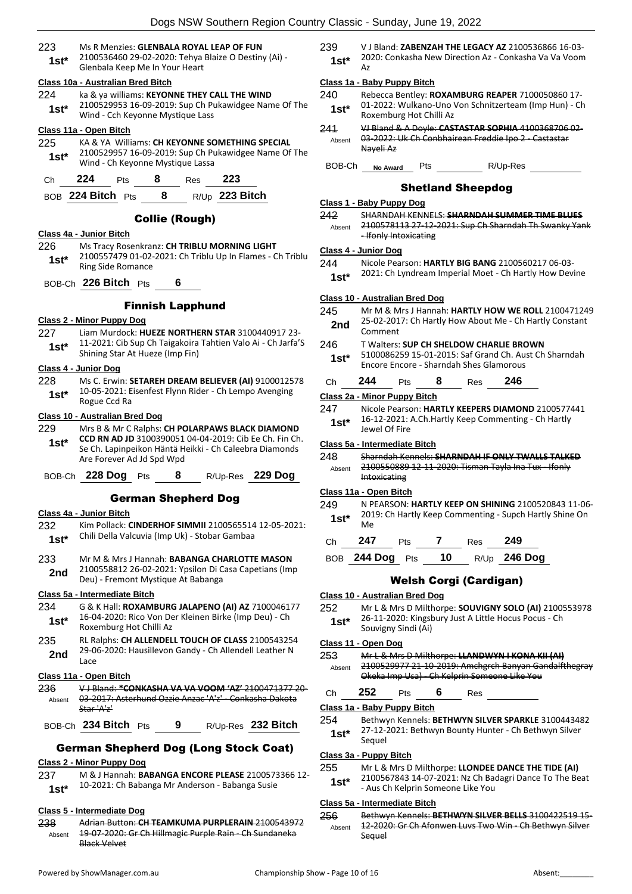#### 223 Ms R Menzies: **GLENBALA ROYAL LEAP OF FUN**

2100536460 29-02-2020: Tehya Blaize O Destiny (Ai) - 1st\* <u>2100536460</u> 29-02-2020: Tehya<br>Glenbala Keep Me In Your Heart

#### **Class 10a - Australian Bred Bitch**

- 224 ka & ya williams: **KEYONNE THEY CALL THE WIND**
	- 2100529953 16-09-2019: Sup Ch Pukawidgee Name Of The Wind - Cch Keyonne Mystique Lass **1st\***

#### **Class 11a - Open Bitch**

- 225 KA & YA Williams: **CH KEYONNE SOMETHING SPECIAL** 2100529957 16-09-2019: Sup Ch Pukawidgee Name Of The Wind - Ch Keyonne Mystique Lassa **1st\***
- Ch **224** Pts **8** Res **223**
- BOB **224 Bitch** Pts **8** R/Up **223 Bitch**

#### Collie (Rough)

#### **Class 4a - Junior Bitch**

226 Ms Tracy Rosenkranz: **CH TRIBLU MORNING LIGHT** 2100557479 01-02-2021: Ch Triblu Up In Flames - Ch Triblu 1st<sup>\*</sup> <sup>2100557479</sup> 01-02-<br>Ring Side Romance

#### BOB-Ch **226 Bitch** Pts **6**

#### Finnish Lapphund

#### **Class 2 - Minor Puppy Dog**

- 227 Liam Murdock: **HUEZE NORTHERN STAR** 3100440917 23- 11-2021: Cib Sup Ch Taigakoira Tahtien Valo Ai - Ch Jarfa'S
- **1st\*** LI-2021: CID Sup Ch Taigakoira<br>Shining Star At Hueze (Imp Fin)

#### **Class 4 - Junior Dog**

228 Ms C. Erwin: **SETAREH DREAM BELIEVER (AI)** 9100012578 10-05-2021: Eisenfest Flynn Rider - Ch Lempo Avenging 1st\* <sup>10-05-2021: E</sup><br>Rogue Ccd Ra

#### **Class 10 - Australian Bred Dog**

- 229 Mrs B & Mr C Ralphs: **CH POLARPAWS BLACK DIAMOND CCD RN AD JD** 3100390051 04-04-2019: Cib Ee Ch. Fin Ch. Se Ch. Lapinpeikon Häntä Heikki - Ch Caleebra Diamonds **1st\***
- Are Forever Ad Jd Spd Wpd
- BOB-Ch **228 Dog** Pts **8** R/Up-Res **229 Dog**

#### German Shepherd Dog

#### **Class 4a - Junior Bitch**

- 232 Kim Pollack: **CINDERHOF SIMMII** 2100565514 12-05-2021: Chili Della Valcuvia (Imp Uk) - Stobar Gambaa **1st\***
- 233 Mr M & Mrs J Hannah: **BABANGA CHARLOTTE MASON** 2100558812 26-02-2021: Ypsilon Di Casa Capetians (Imp 2nd 2100338812 20-02-2021: *resion of Levinga* Deu) - Fremont Mystique At Babanga

#### **Class 5a - Intermediate Bitch**

- 234 G & K Hall: **ROXAMBURG JALAPENO (AI) AZ** 7100046177 16-04-2020: Rico Von Der Kleinen Birke (Imp Deu) - Ch **1st**\* 1b-04-2020: Rico Von De<br>Roxemburg Hot Chilli Az 235 RL Ralphs: **CH ALLENDELL TOUCH OF CLASS** 2100543254
- 29-06-2020: Hausillevon Gandy Ch Allendell Leather N **2nd**  $\frac{29-0}{200}$

#### **Class 11a - Open Bitch**

- 236 V J Bland: **\*CONKASHA VA VA VOOM 'AZ'** 2100471377 20- 03-2017: Asterhund Ozzie Anzac 'A'z' - Conkasha Dakota Star 'A'z' Absent
- BOB-Ch **234 Bitch** Pts **9** R/Up-Res **232 Bitch**

## German Shepherd Dog (Long Stock Coat)

#### **Class 2 - Minor Puppy Dog**

237 M & J Hannah: **BABANGA ENCORE PLEASE** 2100573366 12- 1st\* 10-2021: Ch Babanga Mr Anderson - Babanga Susie

#### **Class 5 - Intermediate Dog**

238 Adrian Button: **CH TEAMKUMA PURPLERAIN** 2100543972 19-07-2020: Gr Ch Hillmagic Purple Rain - Ch Sundaneka Black Velvet Absent

239 V J Bland: **ZABENZAH THE LEGACY AZ** 2100536866 16-03- 2020: Conkasha New Direction Az - Conkasha Va Va Voom **1st**\*  $\frac{20}{47}$ 

#### **Class 1a - Baby Puppy Bitch**

- 240 Rebecca Bentley: **ROXAMBURG REAPER** 7100050860 17- 01-2022: Wulkano-Uno Von Schnitzerteam (Imp Hun) - Ch
- Roxemburg Hot Chilli Az **1st\*** 241 VJ Bland & A Doyle: **CASTASTAR SOPHIA** 4100368706 02-
- 03-2022: Uk Ch Conbhairean Freddie Ipo 2 Castastar Nayeli Az Absent
- BOB-Ch **No Award** Pts R/Up-Res

#### Shetland Sheepdog

#### **Class 1 - Baby Puppy Dog**

242 SHARNDAH KENNELS: **SHARNDAH SUMMER TIME BLUES** 2100578113 27-12-2021: Sup Ch Sharndah Th Swanky Yank - Ifonly Intoxicating Absent

#### **Class 4 - Junior Dog**

- 244 Nicole Pearson: **HARTLY BIG BANG** 2100560217 06-03-
- 1st\* 2021: Ch Lyndream Imperial Moet Ch Hartly How Devine

#### **Class 10 - Australian Bred Dog**

245 Mr M & Mrs J Hannah: **HARTLY HOW WE ROLL** 2100471249 25-02-2017: Ch Hartly How About Me - Ch Hartly Constant **2nd**  $\frac{25-02-201}{Comment}$ 

#### 246 T Walters: **SUP CH SHELDOW CHARLIE BROWN**

- 5100086259 15-01-2015: Saf Grand Ch. Aust Ch Sharndah **1st** 5100086259 15-01-2015: Saf Grand Ch. Au Encore Encore - Sharndah Shes Glamorous
- Ch **244** Pts **8** Res **246**

#### **Class 2a - Minor Puppy Bitch**

- 247 Nicole Pearson: **HARTLY KEEPERS DIAMOND** 2100577441 16-12-2021: A.Ch.Hartly Keep Commenting - Ch Hartly 1st<sup>\*</sup> <sup>1b-12-2021:</sup>
- 248 Sharndah Kennels: **SHARNDAH IF ONLY TWALLS TALKED** 2100550889 12-11-2020: Tisman Tayla Ina Tux - Ifonly Intoxicating Absent

249 N PEARSON: **HARTLY KEEP ON SHINING** 2100520843 11-06- 2019: Ch Hartly Keep Commenting - Supch Hartly Shine On **1st**<sup>\*</sup>  $\frac{201}{Me}$ 

| €Ch |                 |            |   | 17                              |
|-----|-----------------|------------|---|---------------------------------|
|     | $0.11 \,R - 1.$ | <i>. .</i> | _ | $0.10 \text{ N} \cdot \text{m}$ |

BOB **244 Dog** Pts **10** R/Up **246 Dog**

#### **Class 10 - Australian Bred Dog**

252 Mr L & Mrs D Milthorpe: **SOUVIGNY SOLO (AI)** 2100553978 26-11-2020: Kingsbury Just A Little Hocus Pocus - Ch **1st**\* <sup>2b-11-2020: Kingst<br>Souvigny Sindi (Ai)</sup>

**Class 11 - Open Dog** 253 Mr L & Mrs D Milthorpe: **LLANDWYN I KONA KII (AI)**

- 2100529977 21-10-2019: Amchgrch Banyan Gandalfthegray Okeka Imp Usa) - Ch Kelprin Someone Like You Absent
- Ch **252** Pts **6** Res

#### **Class 1a - Baby Puppy Bitch**

- 254 Bethwyn Kennels: **BETHWYN SILVER SPARKLE** 3100443482
- 27-12-2021: Bethwyn Bounty Hunter Ch Bethwyn Silver  $1$ st<sup>\*</sup> $\frac{27-12-1}{5}$

#### **Class 3a - Puppy Bitch**

255 Mr L & Mrs D Milthorpe: **LLONDEE DANCE THE TIDE (AI)**

2100567843 14-07-2021: Nz Ch Badagri Dance To The Beat 1st\* <sup>21005</sup> 2008 14-07-2021: NZ Ch Back 2008 14-07-2021

#### **Class 5a - Intermediate Bitch**

256 Bethwyn Kennels: **BETHWYN SILVER BELLS** 3100422519 15- 12-2020: Gr Ch Afonwen Luvs Two Win - Ch Bethwyn Silver **Sequel** Absent

Welsh Corgi (Cardigan)

**Class 11a - Open Bitch**

# **Class 5a - Intermediate Bitch**

- 
-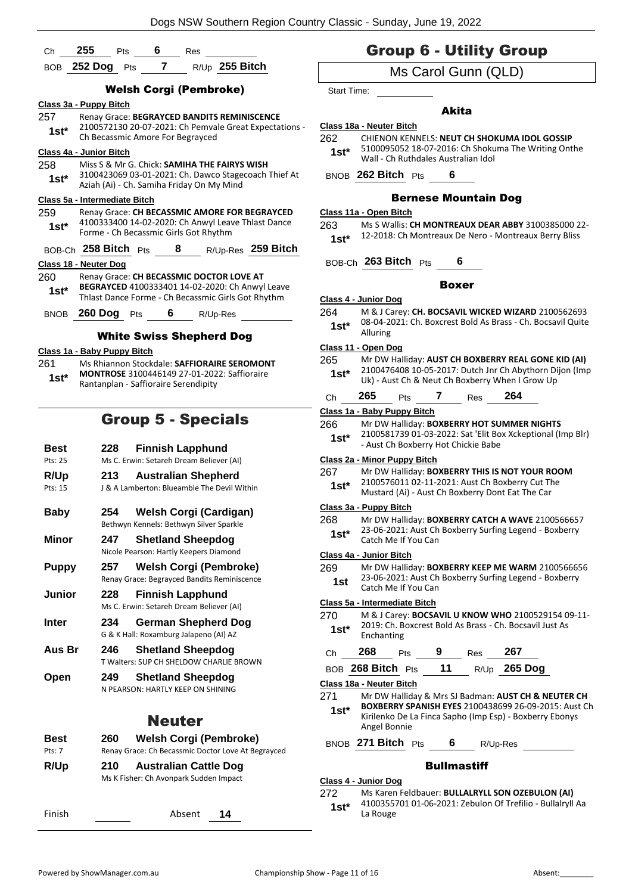|                 |                               |     |                |                                                                                                                                           |                | <b>DUYS INDIVI OUGHINIII INDYNII OUG</b>                                                              |
|-----------------|-------------------------------|-----|----------------|-------------------------------------------------------------------------------------------------------------------------------------------|----------------|-------------------------------------------------------------------------------------------------------|
| Ch.             | 255                           | Pts |                | 6 Res                                                                                                                                     |                |                                                                                                       |
|                 | BOB 252 Dog Pts               |     | $\overline{7}$ |                                                                                                                                           | R/Up 255 Bitch |                                                                                                       |
|                 |                               |     |                | <b>Welsh Corgi (Pembroke)</b>                                                                                                             |                |                                                                                                       |
|                 | Class 3a - Puppy Bitch        |     |                |                                                                                                                                           |                |                                                                                                       |
| 257<br>1st*     |                               |     |                | Renay Grace: BEGRAYCED BANDITS REMINISCENCE<br>Ch Becassmic Amore For Begrayced                                                           |                | 2100572130 20-07-2021: Ch Pemvale Great Expectations -                                                |
|                 | Class 4a - Junior Bitch       |     |                |                                                                                                                                           |                |                                                                                                       |
| 258<br>1st*     |                               |     |                | Miss S & Mr G. Chick: SAMIHA THE FAIRYS WISH<br>Aziah (Ai) - Ch. Samiha Friday On My Mind                                                 |                | 3100423069 03-01-2021: Ch. Dawco Stagecoach Thief At                                                  |
|                 | Class 5a - Intermediate Bitch |     |                |                                                                                                                                           |                |                                                                                                       |
| 259<br>1st*     |                               |     |                |                                                                                                                                           |                | Renay Grace: CH BECASSMIC AMORE FOR BEGRAYCED<br>4100333400 14-02-2020: Ch Anwyl Leave Thlast Dance   |
|                 |                               |     |                | Forme - Ch Becassmic Girls Got Rhythm                                                                                                     |                |                                                                                                       |
|                 |                               |     |                |                                                                                                                                           |                | BOB-Ch 258 Bitch Pts 8 R/Up-Res 259 Bitch                                                             |
|                 | Class 18 - Neuter Dog         |     |                |                                                                                                                                           |                |                                                                                                       |
| 260<br>$1st*$   |                               |     |                | Renay Grace: CH BECASSMIC DOCTOR LOVE AT                                                                                                  |                | BEGRAYCED 4100333401 14-02-2020: Ch Anwyl Leave<br>Thlast Dance Forme - Ch Becassmic Girls Got Rhythm |
|                 | BNOB 260 Dog Pts 6 R/Up-Res   |     |                |                                                                                                                                           |                |                                                                                                       |
|                 |                               |     |                | <b>White Swiss Shepherd Dog</b>                                                                                                           |                |                                                                                                       |
|                 | Class 1a - Baby Puppy Bitch   |     |                |                                                                                                                                           |                |                                                                                                       |
| 261<br>$1st^*$  |                               |     |                | Ms Rhiannon Stockdale: SAFFIORAIRE SEROMONT<br><b>MONTROSE 3100446149 27-01-2022: Saffioraire</b><br>Rantanplan - Saffioraire Serendipity |                |                                                                                                       |
|                 |                               |     |                | <b>Group 5 - Specials</b>                                                                                                                 |                |                                                                                                       |
| Best<br>Pts: 25 |                               | 228 |                | <b>Finnish Lapphund</b><br>Ms C. Erwin: Setareh Dream Believer (AI)                                                                       |                |                                                                                                       |
| R/Up<br>Pts: 15 |                               | 213 |                | <b>Australian Shepherd</b><br>J & A Lamberton: Blueamble The Devil Within                                                                 |                |                                                                                                       |
| <b>Baby</b>     |                               | 254 |                | <b>Welsh Corgi (Cardigan)</b><br>Bethwyn Kennels: Bethwyn Silver Sparkle                                                                  |                |                                                                                                       |
|                 |                               |     |                |                                                                                                                                           |                |                                                                                                       |

## **Minor 247 Shetland Sheepdog**

Nicole Pearson: Hartly Keepers Diamond

- **Puppy 257 Welsh Corgi (Pembroke)** Renay Grace: Begrayced Bandits Reminiscence
- **Junior 228 Finnish Lapphund** Ms C. Erwin: Setareh Dream Believer (AI)
- **Inter 234 German Shepherd Dog** G & K Hall: Roxamburg Jalapeno (AI) AZ
- **Aus Br 246 Shetland Sheepdog** T Walters: SUP CH SHELDOW CHARLIE BROWN
- **Open 249 Shetland Sheepdog** N PEARSON: HARTLY KEEP ON SHINING

## Neuter

| <b>Best</b> | 260 | <b>Welsh Corgi (Pembroke)</b>                      |
|-------------|-----|----------------------------------------------------|
| Pts: 7      |     | Renay Grace: Ch Becassmic Doctor Love At Begrayced |
| R/Up        | 210 | <b>Australian Cattle Dog</b>                       |
|             |     | Ms K Fisher: Ch Avonpark Sudden Impact             |
|             |     |                                                    |
|             |     |                                                    |

Finish Absent **14**

## Group 6 - Utility Group

#### Ms Carol Gunn (QLD)

Start Time:

#### Akita

#### **Class 18a - Neuter Bitch**

- 262 CHIENON KENNELS: **NEUT CH SHOKUMA IDOL GOSSIP** 5100095052 18-07-2016: Ch Shokuma The Writing Onthe
	- 1st\* 5100095052 18-07-2016: Ch Shoku<br>Wall Ch Ruthdales Australian Idol
- BNOB **262 Bitch** Pts **6**

#### Bernese Mountain Dog

#### **Class 11a - Open Bitch**

- 263 Ms S Wallis: **CH MONTREAUX DEAR ABBY** 3100385000 22- 1st\* 12-2018: Ch Montreaux De Nero - Montreaux Berry Bliss
- BOB-Ch **263 Bitch** Pts **6**

#### Boxer

#### **Class 4 - Junior Dog**

264 M & J Carey: **CH. BOCSAVIL WICKED WIZARD** 2100562693 08-04-2021: Ch. Boxcrest Bold As Brass - Ch. Bocsavil Quite Alluring **1st\***

#### **Class 11 - Open Dog**

- 265 Mr DW Halliday: **AUST CH BOXBERRY REAL GONE KID (AI)** 2100476408 10-05-2017: Dutch Jnr Ch Abythorn Dijon (Imp Uk) - Aust Ch & Neut Ch Boxberry When I Grow Up **1st\***
- Ch **265** Pts **7** Res **264**

#### **Class 1a - Baby Puppy Bitch**

266 Mr DW Halliday: **BOXBERRY HOT SUMMER NIGHTS** 2100581739 01-03-2022: Sat 'Elit Box Xckeptional (Imp Blr) 1st\* 2100581739 01-03-2022: Sat 'Elit Bo<br>Aust Ch Boxberry Hot Chickie Babe

#### **Class 2a - Minor Puppy Bitch**

- 267 Mr DW Halliday: **BOXBERRY THIS IS NOT YOUR ROOM**
- 2100576011 02-11-2021: Aust Ch Boxberry Cut The Mustard (Ai) - Aust Ch Boxberry Dont Eat The Car **1st\***

#### **Class 3a - Puppy Bitch**

268 Mr DW Halliday: **BOXBERRY CATCH A WAVE** 2100566657 23-06-2021: Aust Ch Boxberry Surfing Legend - Boxberry **1st**\* <sup>23-06-2021: Aust Ch<br>Catch Me If You Can</sup>

#### **Class 4a - Junior Bitch**

269 Mr DW Halliday: **BOXBERRY KEEP ME WARM** 2100566656 23-06-2021: Aust Ch Boxberry Surfing Legend - Boxberry **1st** <sup>23-06-2021: Aust Cn</sup><br>Catch Me If You Can

#### **Class 5a - Intermediate Bitch**

270 M & J Carey: **BOCSAVIL U KNOW WHO** 2100529154 09-11- 2019: Ch. Boxcrest Bold As Brass - Ch. Bocsavil Just As 1st<sup>\*</sup> <sup>2019: Ch. B</sup><br>Fochanting

| Ch | 268 | 'ts | 9 | ĸes | 267 |  |
|----|-----|-----|---|-----|-----|--|
|----|-----|-----|---|-----|-----|--|

BOB **268 Bitch** Pts **11** R/Up **265 Dog**

#### **Class 18a - Neuter Bitch**

Angel Bonnie

- 271 Mr DW Halliday & Mrs SJ Badman: **AUST CH & NEUTER CH BOXBERRY SPANISH EYES** 2100438699 26-09-2015: Aust Ch Kirilenko De La Finca Sapho (Imp Esp) - Boxberry Ebonys **1st\***
- BNOB **271 Bitch** Pts **6** R/Up-Res

#### **Bullmastiff**

#### **Class 4 - Junior Dog**

272 Ms Karen Feldbauer: **BULLALRYLL SON OZEBULON (AI)** 4100355701 01-06-2021: Zebulon Of Trefilio - Bullalryll Aa 1st<sup>\*</sup> <sup>4100355</sup>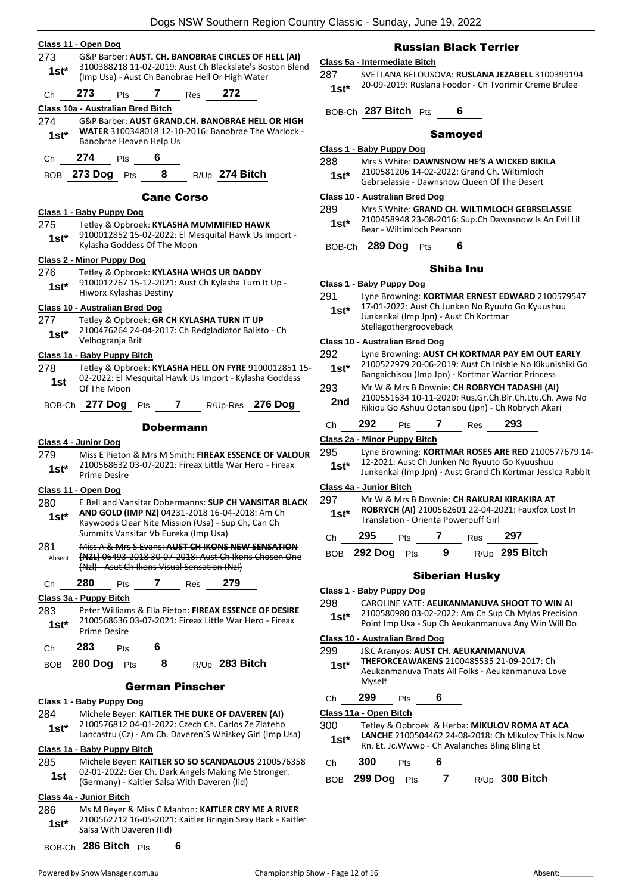| Dogs NSW Southern Region Country Classic - Sunday, June 19, 2022 |  |  |  |
|------------------------------------------------------------------|--|--|--|
|------------------------------------------------------------------|--|--|--|

|            | Class 11 - Open Dog                                                                                              |                               | <b>Russian Black Terrier</b>                                                                                |  |  |  |
|------------|------------------------------------------------------------------------------------------------------------------|-------------------------------|-------------------------------------------------------------------------------------------------------------|--|--|--|
| 273        | G&P Barber: AUST. CH. BANOBRAE CIRCLES OF HELL (AI)                                                              | Class 5a - Intermediate Bitch |                                                                                                             |  |  |  |
| $1st*$     | 3100388218 11-02-2019: Aust Ch Blackslate's Boston Blend<br>(Imp Usa) - Aust Ch Banobrae Hell Or High Water      | 287                           | SVETLANA BELOUSOVA: RUSLANA JEZABELL 3100399194                                                             |  |  |  |
|            |                                                                                                                  | $1st*$                        | 20-09-2019: Ruslana Foodor - Ch Tvorimir Creme Brulee                                                       |  |  |  |
| Ch         | 272<br>273<br>7<br>Pts<br>Res                                                                                    |                               |                                                                                                             |  |  |  |
|            | Class 10a - Australian Bred Bitch                                                                                |                               | BOB-Ch 287 Bitch Pts<br>6                                                                                   |  |  |  |
| 274        | G&P Barber: AUST GRAND.CH. BANOBRAE HELL OR HIGH                                                                 |                               |                                                                                                             |  |  |  |
| $1st*$     | <b>WATER 3100348018 12-10-2016: Banobrae The Warlock -</b>                                                       |                               | <b>Samoyed</b>                                                                                              |  |  |  |
|            | Banobrae Heaven Help Us                                                                                          |                               | Class 1 - Baby Puppy Dog                                                                                    |  |  |  |
| Ch         | 274<br>6<br>Pts                                                                                                  | 288                           | Mrs S White: DAWNSNOW HE'S A WICKED BIKILA                                                                  |  |  |  |
|            | BOB 273 Dog Pts 8 R/Up 274 Bitch                                                                                 | $1st*$                        | 2100581206 14-02-2022: Grand Ch. Wiltimloch                                                                 |  |  |  |
|            |                                                                                                                  |                               | Gebrselassie - Dawnsnow Queen Of The Desert                                                                 |  |  |  |
|            | <b>Cane Corso</b>                                                                                                |                               | Class 10 - Australian Bred Dog                                                                              |  |  |  |
|            | Class 1 - Baby Puppy Dog                                                                                         | 289                           | Mrs S White: GRAND CH. WILTIMLOCH GEBRSELASSIE                                                              |  |  |  |
| 275        | Tetley & Opbroek: KYLASHA MUMMIFIED HAWK                                                                         | $1st*$                        | 2100458948 23-08-2016: Sup.Ch Dawnsnow Is An Evil Lil                                                       |  |  |  |
| $1st*$     | 9100012852 15-02-2022: El Mesquital Hawk Us Import -                                                             |                               | Bear - Wiltimloch Pearson                                                                                   |  |  |  |
|            | Kylasha Goddess Of The Moon                                                                                      |                               | BOB-Ch 289 Dog Pts<br>6                                                                                     |  |  |  |
|            | <b>Class 2 - Minor Puppy Dog</b>                                                                                 |                               |                                                                                                             |  |  |  |
| 276        | Tetley & Opbroek: KYLASHA WHOS UR DADDY                                                                          |                               | <b>Shiba Inu</b>                                                                                            |  |  |  |
| $1st*$     | 9100012767 15-12-2021: Aust Ch Kylasha Turn It Up -                                                              |                               | Class 1 - Baby Puppy Dog                                                                                    |  |  |  |
|            | Hiworx Kylashas Destiny                                                                                          | 291                           | Lyne Browning: KORTMAR ERNEST EDWARD 2100579547                                                             |  |  |  |
|            | Class 10 - Australian Bred Dog                                                                                   | $1st*$                        | 17-01-2022: Aust Ch Junken No Ryuuto Go Kyuushuu                                                            |  |  |  |
| 277        | Tetley & Opbroek: GR CH KYLASHA TURN IT UP                                                                       |                               | Junkenkai (Imp Jpn) - Aust Ch Kortmar<br>Stellagothergrooveback                                             |  |  |  |
| $1st*$     | 2100476264 24-04-2017: Ch Redgladiator Balisto - Ch<br>Velhogranja Brit                                          |                               |                                                                                                             |  |  |  |
|            |                                                                                                                  | 292                           | Class 10 - Australian Bred Dog<br>Lyne Browning: AUST CH KORTMAR PAY EM OUT EARLY                           |  |  |  |
|            | Class 1a - Baby Puppy Bitch                                                                                      |                               | 2100522979 20-06-2019: Aust Ch Inishie No Kikunishiki Go                                                    |  |  |  |
| 278        | Tetley & Opbroek: KYLASHA HELL ON FYRE 9100012851 15-<br>02-2022: El Mesquital Hawk Us Import - Kylasha Goddess  | $1st*$                        | Bangaichisou (Imp Jpn) - Kortmar Warrior Princess                                                           |  |  |  |
| 1st        | Of The Moon                                                                                                      | 293                           | Mr W & Mrs B Downie: CH ROBRYCH TADASHI (AI)                                                                |  |  |  |
|            |                                                                                                                  | 2nd                           | 2100551634 10-11-2020: Rus.Gr.Ch.Blr.Ch.Ltu.Ch. Awa No                                                      |  |  |  |
|            | BOB-Ch 277 Dog Pts<br>7 R/Up-Res 276 Dog                                                                         |                               | Rikiou Go Ashuu Ootanisou (Jpn) - Ch Robrych Akari                                                          |  |  |  |
|            | <b>Dobermann</b>                                                                                                 | Ch                            | 292<br>293<br>7<br>Pts<br>Res                                                                               |  |  |  |
|            | Class 4 - Junior Dog                                                                                             |                               | Class 2a - Minor Puppy Bitch                                                                                |  |  |  |
| 279        | Miss E Pieton & Mrs M Smith: FIREAX ESSENCE OF VALOUR                                                            | 295                           | Lyne Browning: KORTMAR ROSES ARE RED 2100577679 14-                                                         |  |  |  |
| $1st^*$    | 2100568632 03-07-2021: Fireax Little War Hero - Fireax<br><b>Prime Desire</b>                                    | $1st^*$                       | 12-2021: Aust Ch Junken No Ryuuto Go Kyuushuu<br>Junkenkai (Imp Jpn) - Aust Grand Ch Kortmar Jessica Rabbit |  |  |  |
|            | Class 11 - Open Dog                                                                                              |                               | Class 4a - Junior Bitch                                                                                     |  |  |  |
| 280        | E Bell and Vansitar Dobermanns: SUP CH VANSITAR BLACK                                                            | 297                           | Mr W & Mrs B Downie: CH RAKURAI KIRAKIRA AT                                                                 |  |  |  |
| $1st*$     | AND GOLD (IMP NZ) 04231-2018 16-04-2018: Am Ch                                                                   | $1st*$                        | ROBRYCH (AI) 2100562601 22-04-2021: Fauxfox Lost In                                                         |  |  |  |
|            | Kaywoods Clear Nite Mission (Usa) - Sup Ch, Can Ch                                                               |                               | Translation - Orienta Powerpuff Girl                                                                        |  |  |  |
|            | Summits Vansitar Vb Eureka (Imp Usa)                                                                             | Ch                            | 295<br>297<br>7<br>Pts<br><b>Res</b>                                                                        |  |  |  |
| 281        | Miss A & Mrs S Evans: AUST CH IKONS NEW SENSATION<br>(NZL) 06493-2018 30-07-2018: Aust Ch Ikons Chosen One       |                               | R/Up 295 Bitch<br>9<br>BOB 292 Dog Pts                                                                      |  |  |  |
| Absent     | (NzI) - Asut Ch Ikons Visual Sensation (NzI)                                                                     |                               |                                                                                                             |  |  |  |
|            |                                                                                                                  |                               | <b>Siberian Husky</b>                                                                                       |  |  |  |
| Ch         | 280<br>279<br>7<br>Pts<br>Res                                                                                    |                               | Class 1 - Baby Puppy Dog                                                                                    |  |  |  |
|            | Class 3a - Puppy Bitch                                                                                           | 298                           | CAROLINE YATE: AEUKANMANUVA SHOOT TO WIN AI                                                                 |  |  |  |
| 283        | Peter Williams & Ella Pieton: FIREAX ESSENCE OF DESIRE                                                           | $1st*$                        | 2100580980 03-02-2022: Am Ch Sup Ch Mylas Precision                                                         |  |  |  |
| $1st*$     | 2100568636 03-07-2021: Fireax Little War Hero - Fireax<br><b>Prime Desire</b>                                    |                               | Point Imp Usa - Sup Ch Aeukanmanuva Any Win Will Do                                                         |  |  |  |
|            |                                                                                                                  |                               | Class 10 - Australian Bred Dog                                                                              |  |  |  |
| Ch         | 283<br>6<br>Pts                                                                                                  | 299                           | J&C Aranyos: AUST CH. AEUKANMANUVA                                                                          |  |  |  |
| <b>BOB</b> | 8<br>$280$ Dog Pts<br>R/Up 283 Bitch                                                                             | $1st*$                        | <b>THEFORCEAWAKENS 2100485535 21-09-2017: Ch</b>                                                            |  |  |  |
|            |                                                                                                                  |                               | Aeukanmanuva Thats All Folks - Aeukanmanuva Love<br>Myself                                                  |  |  |  |
|            | <b>German Pinscher</b>                                                                                           |                               |                                                                                                             |  |  |  |
|            | Class 1 - Baby Puppy Dog                                                                                         | Ch                            | 299<br>6<br>Pts                                                                                             |  |  |  |
| 284        | Michele Beyer: KAITLER THE DUKE OF DAVEREN (AI)                                                                  |                               | Class 11a - Open Bitch                                                                                      |  |  |  |
| $1st*$     | 2100576812 04-01-2022: Czech Ch. Carlos Ze Zlateho                                                               | 300                           | Tetley & Opbroek & Herba: MIKULOV ROMA AT ACA                                                               |  |  |  |
|            | Lancastru (Cz) - Am Ch. Daveren'S Whiskey Girl (Imp Usa)                                                         | $1st*$                        | LANCHE 2100504462 24-08-2018: Ch Mikulov This Is Now                                                        |  |  |  |
|            | Class 1a - Baby Puppy Bitch                                                                                      |                               | Rn. Et. Jc. Wwwp - Ch Avalanches Bling Bling Et                                                             |  |  |  |
| 285        | Michele Beyer: KAITLER SO SO SCANDALOUS 2100576358                                                               | Ch                            | 300<br>6<br>Pts                                                                                             |  |  |  |
| 1st        | 02-01-2022: Ger Ch. Dark Angels Making Me Stronger.<br>(Germany) - Kaitler Salsa With Daveren (Iid)              |                               | $\mathbf{7}$<br>R/Up 300 Bitch<br>BOB 299 Dog Pts                                                           |  |  |  |
|            |                                                                                                                  |                               |                                                                                                             |  |  |  |
|            | Class 4a - Junior Bitch                                                                                          |                               |                                                                                                             |  |  |  |
| 286        | Ms M Beyer & Miss C Manton: KAITLER CRY ME A RIVER<br>2100562712 16-05-2021: Kaitler Bringin Sexy Back - Kaitler |                               |                                                                                                             |  |  |  |
| $1st*$     | Salsa With Daveren (lid)                                                                                         |                               |                                                                                                             |  |  |  |
|            | BOB-Ch 286 Bitch Pts                                                                                             |                               |                                                                                                             |  |  |  |
|            | 6                                                                                                                |                               |                                                                                                             |  |  |  |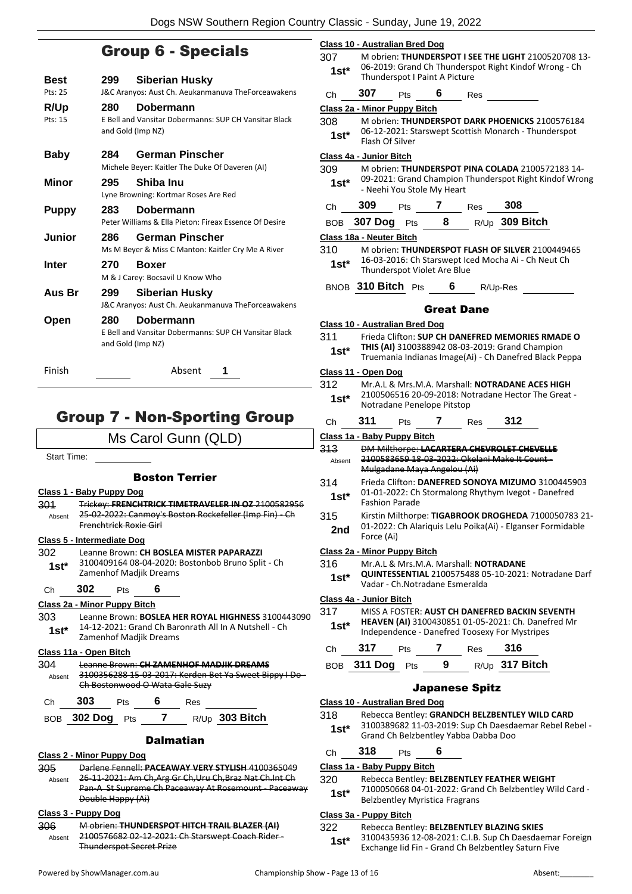## Group 6 - Specials

| Best<br>Pts: 25 | 299 | Siberian Husky<br>J&C Aranyos: Aust Ch. Aeukanmanuva TheForceawakens                    |
|-----------------|-----|-----------------------------------------------------------------------------------------|
| R/Up<br>Pts: 15 | 280 | Dobermann<br>E Bell and Vansitar Dobermanns: SUP CH Vansitar Black<br>and Gold (Imp NZ) |
| Baby            | 284 | <b>German Pinscher</b><br>Michele Beyer: Kaitler The Duke Of Daveren (AI)               |
| Minor           | 295 | Shiba Inu<br>Lyne Browning: Kortmar Roses Are Red                                       |
| <b>Puppy</b>    | 283 | Dobermann<br>Peter Williams & Ella Pieton: Fireax Essence Of Desire                     |
| Junior          | 286 | German Pinscher<br>Ms M Beyer & Miss C Manton: Kaitler Cry Me A River                   |
| Inter           | 270 | <b>Boxer</b><br>M & J Carey: Bocsavil U Know Who                                        |
| Aus Br          | 299 | Siberian Husky<br>J&C Aranyos: Aust Ch. Aeukanmanuva TheForceawakens                    |
| Open            | 280 | Dobermann<br>E Bell and Vansitar Dobermanns: SUP CH Vansitar Black<br>and Gold (Imp NZ) |
| Finish          |     | Absent<br>1                                                                             |

## Group 7 - Non-Sporting Group

Ms Carol Gunn (QLD) Start Time: Boston Terrier **Class 1 - Baby Puppy Dog** 301 Trickey: **FRENCHTRICK TIMETRAVELER IN OZ** 2100582956 25-02-2022: Canmoy's Boston Rockefeller (Imp Fin) - Ch Frenchtrick Roxie Girl Absent **Class 5 - Intermediate Dog** 302 Leanne Brown: **CH BOSLEA MISTER PAPARAZZI** 3100409164 08-04-2020: Bostonbob Bruno Split - Ch **1st**\* 3100409164 08-04-2020:<br>Zamenhof Madjik Dreams Ch **302** Pts **6 Class 2a - Minor Puppy Bitch** 303 Leanne Brown: **BOSLEA HER ROYAL HIGHNESS** 3100443090 14-12-2021: Grand Ch Baronrath All In A Nutshell - Ch **1st**\* 14-12-2021: Grand Ch Bar<br>Zamenhof Madjik Dreams

#### **Class 11a - Open Bitch**

| 304    |     |            |   | Leanne Brown: CH ZAMENHOF MADJIK DREAMS                |  |
|--------|-----|------------|---|--------------------------------------------------------|--|
| Absent |     |            |   | 3100356288 15-03-2017: Kerden Bet Ya Sweet Bippy I Do- |  |
|        |     |            |   | Ch Bostonwood O Wata Gale Suzy                         |  |
| Ch.    | 303 | <b>Pts</b> | 6 | Res                                                    |  |

| BOB 302 Dog Pts |  |  |  |  | R/Up 303 Bitch |
|-----------------|--|--|--|--|----------------|
|-----------------|--|--|--|--|----------------|

#### **Dalmatian**

#### **Class 2 - Minor Puppy Dog**

305 Darlene Fennell: **PACEAWAY VERY STYLISH** 4100365049 26-11-2021: Am Ch,Arg Gr Ch,Uru Ch,Braz Nat Ch.Int Ch Pan-A St Supreme Ch Paceaway At Rosemount - Paceaway Double Happy (Ai) Absent

#### **Class 3 - Puppy Dog**

306 M obrien: **THUNDERSPOT HITCH TRAIL BLAZER (AI)** 2100576682 02-12-2021: Ch Starswept Coach Rider - Thunderspot Secret Prize Absent

|               | <b>Class 10 - Australian Bred Dog</b>                                                                     |                                                        |
|---------------|-----------------------------------------------------------------------------------------------------------|--------------------------------------------------------|
| 307           |                                                                                                           | M obrien: THUNDERSPOT I SEE THE LIGHT 2100520708 13-   |
| 1st*          | 06-2019: Grand Ch Thunderspot Right Kindof Wrong - Ch<br>Thunderspot I Paint A Picture                    |                                                        |
| Сh            | 307<br>6<br>Pts                                                                                           | Res                                                    |
|               | Class 2a - Minor Puppy Bitch                                                                              |                                                        |
| 308           | M obrien: THUNDERSPOT DARK PHOENICKS 2100576184<br>06-12-2021: Starswept Scottish Monarch - Thunderspot   |                                                        |
| 1st*          | Flash Of Silver                                                                                           |                                                        |
|               | Class 4a - Junior Bitch                                                                                   |                                                        |
| 309<br>$1st*$ | M obrien: THUNDERSPOT PINA COLADA 2100572183 14-<br>- Neehi You Stole My Heart                            | 09-2021: Grand Champion Thunderspot Right Kindof Wrong |
| Сh            | 309<br>7<br>Pts                                                                                           | 308<br>Res                                             |
| BOB           | <b>307 Dog</b><br>8<br>Pts                                                                                | R/Up 309 Bitch                                         |
|               | Class 18a - Neuter Bitch                                                                                  |                                                        |
| 310           | M obrien: THUNDERSPOT FLASH OF SILVER 2100449465                                                          |                                                        |
| $1st*$        | 16-03-2016: Ch Starswept Iced Mocha Ai - Ch Neut Ch<br>Thunderspot Violet Are Blue                        |                                                        |
|               | BNOB 310 Bitch Pts<br>6                                                                                   | R/Up-Res                                               |
|               | Great Dane                                                                                                |                                                        |
|               | <b>Class 10 - Australian Bred Dog</b>                                                                     |                                                        |
| 311           | Frieda Clifton: SUP CH DANEFRED MEMORIES RMADE O                                                          |                                                        |
| $1st*$        | THIS (AI) 3100388942 08-03-2019: Grand Champion<br>Truemania Indianas Image(Ai) - Ch Danefred Black Peppa |                                                        |
|               | Class 11 - Open Dog                                                                                       |                                                        |
| 312           | Mr.A.L & Mrs.M.A. Marshall: NOTRADANE ACES HIGH<br>2100506516 20-09-2018: Notradane Hector The Great -    |                                                        |
| $1st*$        | Notradane Penelope Pitstop                                                                                |                                                        |
| Сh            | 311<br>7<br>Pts                                                                                           | 312<br>Res                                             |
|               | Class 1a - Baby Puppy Bitch                                                                               |                                                        |
| 313           | DM Milthorpe: LACARTERA CHEVROLET CHEVELLE                                                                |                                                        |
| Absent        | 2100583659 18-03-2022: Okelani Make It Count -<br>Mulgadane Maya Angelou (Ai)                             |                                                        |
| 314           |                                                                                                           | Frieda Clifton: DANEFRED SONOYA MIZUMO 3100445903      |
| $1st*$        | 01-01-2022: Ch Stormalong Rhythym Ivegot - Danefred<br>Fashion Parade                                     |                                                        |
| 315           |                                                                                                           | Kirstin Milthorpe: TIGABROOK DROGHEDA 7100050783 21-   |
| 2nd           | 01-2022: Ch Alariquis Lelu Poika(Ai) - Elganser Formidable                                                |                                                        |
|               | Force (Ai)                                                                                                |                                                        |
|               | Class 2a - Minor Puppy Bitch                                                                              |                                                        |
| 316           | Mr.A.L & Mrs.M.A. Marshall: NOTRADANE                                                                     |                                                        |
| $1st*$        | Vadar - Ch. Notradane Esmeralda                                                                           | QUINTESSENTIAL 2100575488 05-10-2021: Notradane Darf   |
|               | Class 4a - Junior Bitch                                                                                   |                                                        |
| 317           | MISS A FOSTER: AUST CH DANEFRED BACKIN SEVENTH                                                            |                                                        |
| $1st^*$       | HEAVEN (AI) 3100430851 01-05-2021: Ch. Danefred Mr<br>Independence - Danefred Toosexy For Mystripes       |                                                        |
| Ch            | 317<br>7<br>Pts                                                                                           | 316<br><b>Res</b>                                      |
| BOB           | 311 Dog Pts<br>9                                                                                          | R/Up 317 Bitch                                         |
|               | <b>Japanese Spitz</b>                                                                                     |                                                        |
|               | <b>Class 10 - Australian Bred Dog</b>                                                                     |                                                        |
| 318           | Rebecca Bentley: GRANDCH BELZBENTLEY WILD CARD                                                            |                                                        |
| $1st*$        | Grand Ch Belzbentley Yabba Dabba Doo                                                                      | 3100389682 11-03-2019: Sup Ch Daesdaemar Rebel Rebel - |
| Сh            | 318<br>6<br>Pts                                                                                           |                                                        |
|               | Class 1a - Baby Puppy Bitch                                                                               |                                                        |

#### 320 Rebecca Bentley: **BELZBENTLEY FEATHER WEIGHT**

7100050668 04-01-2022: Grand Ch Belzbentley Wild Card - Belzbentley Myristica Fragrans **1st\***

#### **Class 3a - Puppy Bitch**

#### 322 Rebecca Bentley: **BELZBENTLEY BLAZING SKIES**

3100435936 12-08-2021: C.I.B. Sup Ch Daesdaemar Foreign Exchange Iid Fin - Grand Ch Belzbentley Saturn Five **1st\***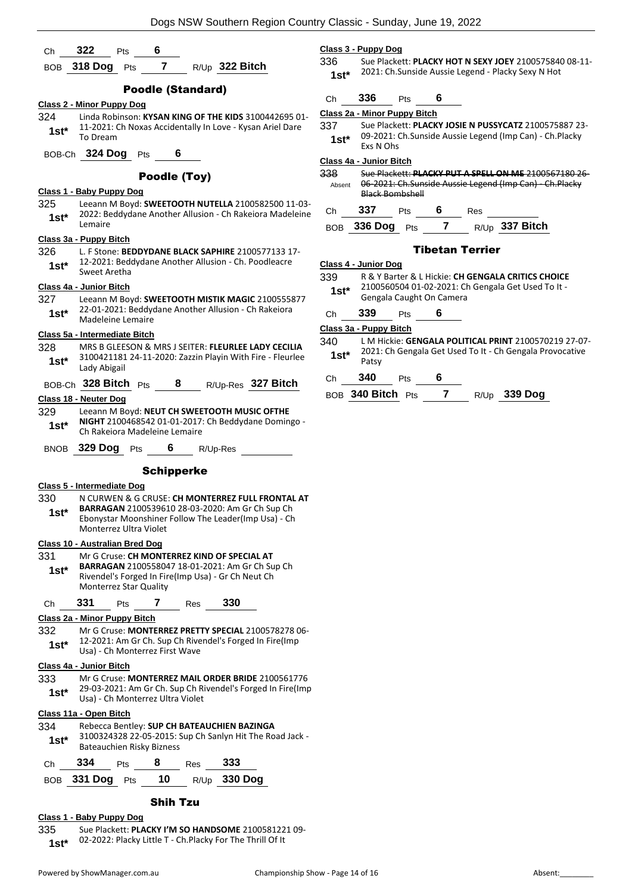Ch **322** Pts **6**

BOB **318 Dog** Pts **7** R/Up **322 Bitch**

#### Poodle (Standard)

#### **Class 2 - Minor Puppy Dog**

324 Linda Robinson: **KYSAN KING OF THE KIDS** 3100442695 01- 11-2021: Ch Noxas Accidentally In Love - Kysan Ariel Dare 1st<sup>\*</sup> <sup>11-2021:</sup><br>To Dream

BOB-Ch **324 Dog** Pts **6**

#### Poodle (Toy)

#### **Class 1 - Baby Puppy Dog**

325 Leeann M Boyd: **SWEETOOTH NUTELLA** 2100582500 11-03- 2022: Beddydane Another Allusion - Ch Rakeiora Madeleine 1st<sup>\*</sup> <sup>2022: Be</sup><br>Lemaire

#### **Class 3a - Puppy Bitch**

326 L. F Stone: **BEDDYDANE BLACK SAPHIRE** 2100577133 17- 12-2021: Beddydane Another Allusion - Ch. Poodleacre Sweet Aretha **1st\***

#### **Class 4a - Junior Bitch**

327 Leeann M Boyd: **SWEETOOTH MISTIK MAGIC** 2100555877 22-01-2021: Beddydane Another Allusion - Ch Rakeiora 1st<sup>\*</sup> <sup>22-01-2021: Beddy</sup>

#### **Class 5a - Intermediate Bitch**

- 328 MRS B GLEESON & MRS J SEITER: **FLEURLEE LADY CECILIA** 3100421181 24-11-2020: Zazzin Playin With Fire - Fleurlee Lady Abigail **1st\***
- BOB-Ch **328 Bitch** Pts **8** R/Up-Res **327 Bitch**

#### **Class 18 - Neuter Dog**

329 Leeann M Boyd: **NEUT CH SWEETOOTH MUSIC OFTHE NIGHT** 2100468542 01-01-2017: Ch Beddydane Domingo - Ch Rakeiora Madeleine Lemaire **1st\***

BNOB **329 Dog** Pts **6** R/Up-Res

#### Schipperke

#### **Class 5 - Intermediate Dog**

330 N CURWEN & G CRUSE: **CH MONTERREZ FULL FRONTAL AT BARRAGAN** 2100539610 28-03-2020: Am Gr Ch Sup Ch Ebonystar Moonshiner Follow The Leader(Imp Usa) - Ch Monterrez Ultra Violet **1st\***

#### **Class 10 - Australian Bred Dog**

331 Mr G Cruse: **CH MONTERREZ KIND OF SPECIAL AT BARRAGAN** 2100558047 18-01-2021: Am Gr Ch Sup Ch Rivendel's Forged In Fire(Imp Usa) - Gr Ch Neut Ch Monterrez Star Quality **1st\***

Ch **331** Pts **7** Res **330**

#### **Class 2a - Minor Puppy Bitch**

- 332 Mr G Cruse: **MONTERREZ PRETTY SPECIAL** 2100578278 06- 12-2021: Am Gr Ch. Sup Ch Rivendel's Forged In Fire(Imp
	- Usa) Ch Monterrez First Wave **1st\***

#### **Class 4a - Junior Bitch**

333 Mr G Cruse: **MONTERREZ MAIL ORDER BRIDE** 2100561776 29-03-2021: Am Gr Ch. Sup Ch Rivendel's Forged In Fire(Imp Usa) - Ch Monterrez Ultra Violet **1st\***

#### **Class 11a - Open Bitch**

- 334 Rebecca Bentley: **SUP CH BATEAUCHIEN BAZINGA** 3100324328 22-05-2015: Sup Ch Sanlyn Hit The Road Jack -
- Bateauchien Risky Bizness **1st\***

| Ch 334          | <b>Pts</b> | - 8  | Res 333 |                     |
|-----------------|------------|------|---------|---------------------|
| BOB 331 Dog Pts |            | - 10 |         | R/Up <b>330 Dog</b> |

#### Shih Tzu

#### **Class 1 - Baby Puppy Dog**

335 Sue Plackett: **PLACKY I'M SO HANDSOME** 2100581221 09- 1st\* 02-2022: Placky Little T - Ch.Placky For The Thrill Of It

#### **Class 3 - Puppy Dog**

336 Sue Plackett: **PLACKY HOT N SEXY JOEY** 2100575840 08-11- 1st\* 2021: Ch.Sunside Aussie Legend - Placky Sexy N Hot

| Сh | 336 | Pts | 6 |
|----|-----|-----|---|
|----|-----|-----|---|

#### **Class 2a - Minor Puppy Bitch**

337 Sue Plackett: **PLACKY JOSIE N PUSSYCATZ** 2100575887 23- 09-2021: Ch.Sunside Aussie Legend (Imp Can) - Ch.Placky  $1$ St<sup>\*</sup>  $\frac{09-202111}{5}$ 

#### **Class 4a - Junior Bitch**

338 Sue Plackett: **PLACKY PUT A SPELL ON ME** 2100567180 26- 06-2021: Ch.Sunside Aussie Legend (Imp Can) - Ch.Placky Black Bombshell Absent

Ch **337** Pts **6** Res BOB **336 Dog** Pts **7** R/Up **337 Bitch**

#### Tibetan Terrier

#### **Class 4 - Junior Dog**

339 R & Y Barter & L Hickie: **CH GENGALA CRITICS CHOICE** 2100560504 01-02-2021: Ch Gengala Get Used To It - Gengala Caught On Camera **1st\***

## Ch **339** Pts **6**

#### **Class 3a - Puppy Bitch**

- 340 L M Hickie: **GENGALA POLITICAL PRINT** 2100570219 27-07- 2021: Ch Gengala Get Used To It - Ch Gengala Provocative 1st<sup>\*</sup> Patsy
- Ch **340** Pts **6**

| BOB 340 Bitch Pts |  | $R/Up$ 339 Dog |
|-------------------|--|----------------|
|                   |  |                |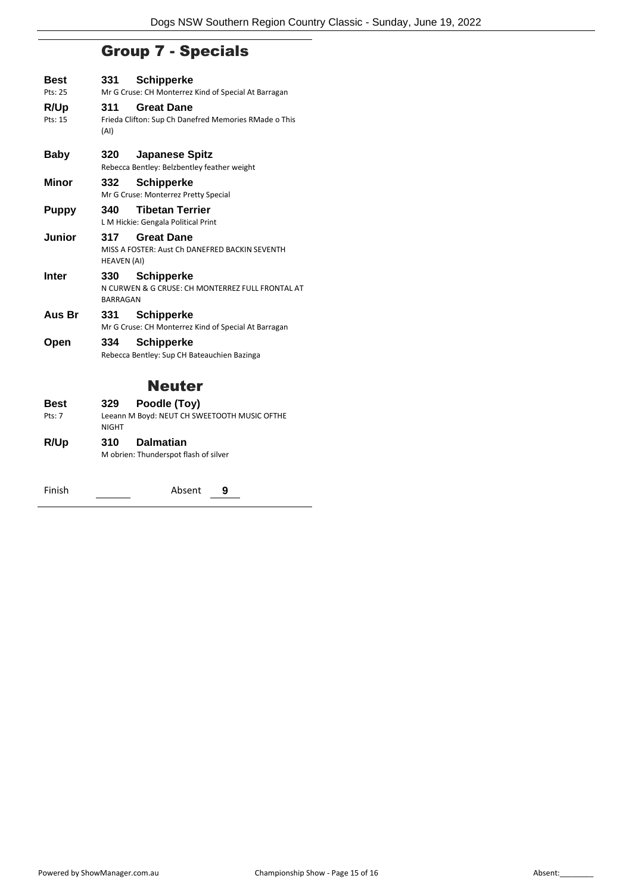## Group 7 - Specials

| Best            | 331                                                  | Schipperke                                                                 |  |
|-----------------|------------------------------------------------------|----------------------------------------------------------------------------|--|
| Pts: 25         | Mr G Cruse: CH Monterrez Kind of Special At Barragan |                                                                            |  |
| R/Up<br>Pts: 15 | 311<br>(AI)                                          | <b>Great Dane</b><br>Frieda Clifton: Sup Ch Danefred Memories RMade o This |  |
| <b>Baby</b>     | 320                                                  | <b>Japanese Spitz</b><br>Rebecca Bentley: Belzbentley feather weight       |  |
| Minor           | 332                                                  | Schipperke<br>Mr G Cruse: Monterrez Pretty Special                         |  |
| <b>Puppy</b>    | 340                                                  | <b>Tibetan Terrier</b><br>L M Hickie: Gengala Political Print              |  |
| Junior          | 317<br><b>HEAVEN</b> (AI)                            | <b>Great Dane</b><br>MISS A FOSTER: Aust Ch DANEFRED BACKIN SEVENTH        |  |
| Inter           | 330 <b>Sand</b><br><b>BARRAGAN</b>                   | <b>Schipperke</b><br>N CURWEN & G CRUSE: CH MONTERREZ FULL FRONTAL AT      |  |
| Aus Br          | 331 —                                                | <b>Schipperke</b><br>Mr G Cruse: CH Monterrez Kind of Special At Barragan  |  |
| Open            | 334                                                  | Schipperke<br>Rebecca Bentley: Sup CH Bateauchien Bazinga                  |  |
|                 |                                                      | Neuter                                                                     |  |
| Best<br>Pts: 7  | 329<br>NIGHT                                         | Poodle (Toy)<br>Leeann M Boyd: NEUT CH SWEETOOTH MUSIC OFTHE               |  |

**R/Up 310 Dalmatian** M obrien: Thunderspot flash of silver

Finish Absent **9**